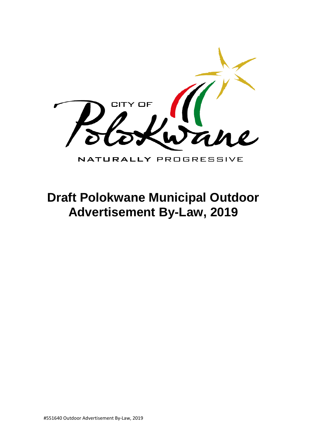

# **Draft Polokwane Municipal Outdoor Advertisement By-Law, 2019**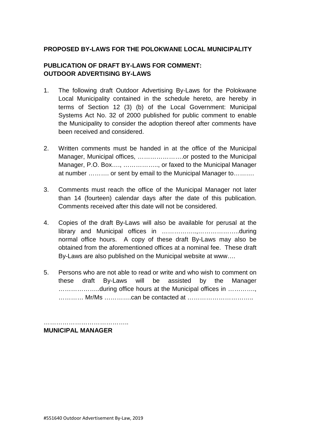#### **PROPOSED BY-LAWS FOR THE POLOKWANE LOCAL MUNICIPALITY**

#### **PUBLICATION OF DRAFT BY-LAWS FOR COMMENT: OUTDOOR ADVERTISING BY-LAWS**

- 1. The following draft Outdoor Advertising By-Laws for the Polokwane Local Municipality contained in the schedule hereto, are hereby in terms of Section 12 (3) (b) of the Local Government: Municipal Systems Act No. 32 of 2000 published for public comment to enable the Municipality to consider the adoption thereof after comments have been received and considered.
- 2. Written comments must be handed in at the office of the Municipal Manager, Municipal offices, ………………….or posted to the Municipal Manager, P.O. Box…., …………….., or faxed to the Municipal Manager at number ………. or sent by email to the Municipal Manager to……….
- 3. Comments must reach the office of the Municipal Manager not later than 14 (fourteen) calendar days after the date of this publication. Comments received after this date will not be considered.
- 4. Copies of the draft By-Laws will also be available for perusal at the library and Municipal offices in ……………..,………………..during normal office hours. A copy of these draft By-Laws may also be obtained from the aforementioned offices at a nominal fee. These draft By-Laws are also published on the Municipal website at www….
- 5. Persons who are not able to read or write and who wish to comment on these draft By-Laws will be assisted by the Manager ………………..during office hours at the Municipal offices in …………., ………… Mr/Ms ………….can be contacted at …………………………..

………………………………….. **MUNICIPAL MANAGER**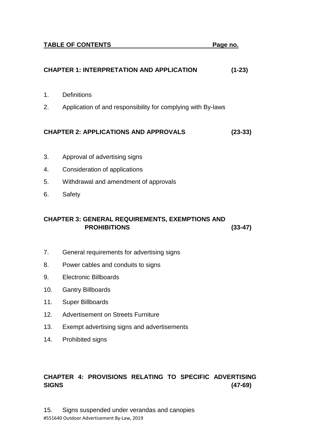# **CHAPTER 1: INTERPRETATION AND APPLICATION (1-23)**  1. Definitions 2. Application of and responsibility for complying with By-laws **CHAPTER 2: APPLICATIONS AND APPROVALS (23-33)**  3. Approval of advertising signs 4. Consideration of applications 5. Withdrawal and amendment of approvals 6. Safety **CHAPTER 3: GENERAL REQUIREMENTS, EXEMPTIONS AND PROHIBITIONS (33-47)**  7. General requirements for advertising signs 8. Power cables and conduits to signs 9. Electronic Billboards

- 
- 10. Gantry Billboards
- 11. Super Billboards
- 12. Advertisement on Streets Furniture
- 13. Exempt advertising signs and advertisements
- 14. Prohibited signs

# **CHAPTER 4: PROVISIONS RELATING TO SPECIFIC ADVERTISING SIGNS (47-69)**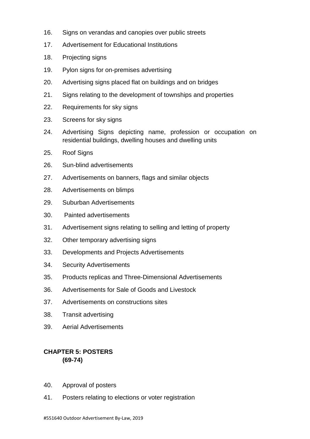- 16. Signs on verandas and canopies over public streets
- 17. Advertisement for Educational Institutions
- 18. Projecting signs
- 19. Pylon signs for on-premises advertising
- 20. Advertising signs placed flat on buildings and on bridges
- 21. Signs relating to the development of townships and properties
- 22. Requirements for sky signs
- 23. Screens for sky signs
- 24. Advertising Signs depicting name, profession or occupation on residential buildings, dwelling houses and dwelling units
- 25. Roof Signs
- 26. Sun-blind advertisements
- 27. Advertisements on banners, flags and similar objects
- 28. Advertisements on blimps
- 29. Suburban Advertisements
- 30. Painted advertisements
- 31. Advertisement signs relating to selling and letting of property
- 32. Other temporary advertising signs
- 33. Developments and Projects Advertisements
- 34. Security Advertisements
- 35. Products replicas and Three-Dimensional Advertisements
- 36. Advertisements for Sale of Goods and Livestock
- 37. Advertisements on constructions sites
- 38. Transit advertising
- 39. Aerial Advertisements

## **CHAPTER 5: POSTERS (69-74)**

- 40. Approval of posters
- 41. Posters relating to elections or voter registration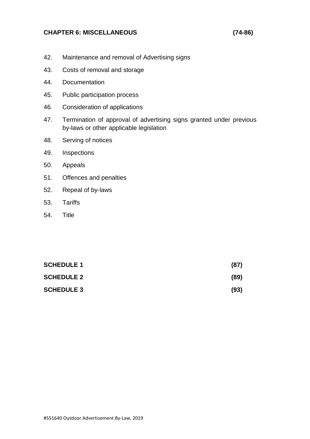#### **CHAPTER 6: MISCELLANEOUS (74-86)**

- 42. Maintenance and removal of Advertising signs
- 43. Costs of removal and storage
- 44. Documentation
- 45. Public participation process
- 46. Consideration of applications
- 47. Termination of approval of advertising signs granted under previous by-laws or other applicable legislation
- 48. Serving of notices
- 49. Inspections
- 50. Appeals
- 51. Offences and penalties
- 52. Repeal of by-laws
- 53. Tariffs
- 54. Title

| <b>SCHEDULE 1</b> | (87) |
|-------------------|------|
| <b>SCHEDULE 2</b> | (89) |
| <b>SCHEDULE 3</b> | (93) |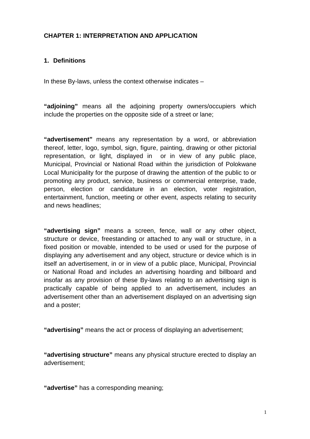#### **CHAPTER 1: INTERPRETATION AND APPLICATION**

#### **1. Definitions**

In these By-laws, unless the context otherwise indicates –

**"adjoining"** means all the adjoining property owners/occupiers which include the properties on the opposite side of a street or lane;

**"advertisement"** means any representation by a word, or abbreviation thereof, letter, logo, symbol, sign, figure, painting, drawing or other pictorial representation, or light, displayed in or in view of any public place, Municipal, Provincial or National Road within the jurisdiction of Polokwane Local Municipality for the purpose of drawing the attention of the public to or promoting any product, service, business or commercial enterprise, trade, person, election or candidature in an election, voter registration, entertainment, function, meeting or other event, aspects relating to security and news headlines;

**"advertising sign"** means a screen, fence, wall or any other object, structure or device, freestanding or attached to any wall or structure, in a fixed position or movable, intended to be used or used for the purpose of displaying any advertisement and any object, structure or device which is in itself an advertisement, in or in view of a public place, Municipal, Provincial or National Road and includes an advertising hoarding and billboard and insofar as any provision of these By-laws relating to an advertising sign is practically capable of being applied to an advertisement, includes an advertisement other than an advertisement displayed on an advertising sign and a poster;

**"advertising"** means the act or process of displaying an advertisement;

**"advertising structure"** means any physical structure erected to display an advertisement;

**"advertise"** has a corresponding meaning;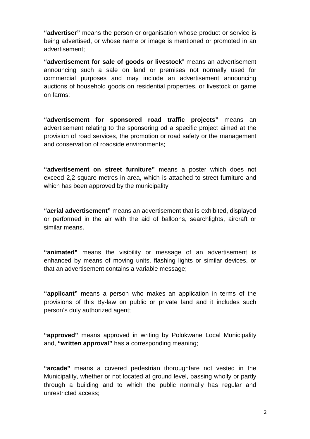**"advertiser"** means the person or organisation whose product or service is being advertised, or whose name or image is mentioned or promoted in an advertisement;

**"advertisement for sale of goods or livestock**" means an advertisement announcing such a sale on land or premises not normally used for commercial purposes and may include an advertisement announcing auctions of household goods on residential properties, or livestock or game on farms;

**"advertisement for sponsored road traffic projects"** means an advertisement relating to the sponsoring od a specific project aimed at the provision of road services, the promotion or road safety or the management and conservation of roadside environments;

**"advertisement on street furniture"** means a poster which does not exceed 2,2 square metres in area, which is attached to street furniture and which has been approved by the municipality

**"aerial advertisement"** means an advertisement that is exhibited, displayed or performed in the air with the aid of balloons, searchlights, aircraft or similar means.

**"animated"** means the visibility or message of an advertisement is enhanced by means of moving units, flashing lights or similar devices, or that an advertisement contains a variable message;

**"applicant"** means a person who makes an application in terms of the provisions of this By-law on public or private land and it includes such person's duly authorized agent;

**"approved"** means approved in writing by Polokwane Local Municipality and, **"written approval"** has a corresponding meaning;

**"arcade"** means a covered pedestrian thoroughfare not vested in the Municipality, whether or not located at ground level, passing wholly or partly through a building and to which the public normally has regular and unrestricted access;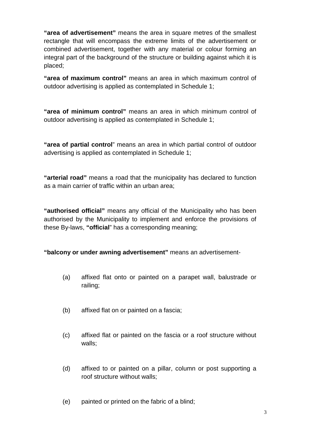**"area of advertisement"** means the area in square metres of the smallest rectangle that will encompass the extreme limits of the advertisement or combined advertisement, together with any material or colour forming an integral part of the background of the structure or building against which it is placed;

**"area of maximum control"** means an area in which maximum control of outdoor advertising is applied as contemplated in Schedule 1;

**"area of minimum control"** means an area in which minimum control of outdoor advertising is applied as contemplated in Schedule 1;

**"area of partial control**" means an area in which partial control of outdoor advertising is applied as contemplated in Schedule 1;

**"arterial road"** means a road that the municipality has declared to function as a main carrier of traffic within an urban area;

**"authorised official"** means any official of the Municipality who has been authorised by the Municipality to implement and enforce the provisions of these By-laws, **"official**" has a corresponding meaning;

**"balcony or under awning advertisement"** means an advertisement-

- (a) affixed flat onto or painted on a parapet wall, balustrade or railing;
- (b) affixed flat on or painted on a fascia;
- (c) affixed flat or painted on the fascia or a roof structure without walls;
- (d) affixed to or painted on a pillar, column or post supporting a roof structure without walls;
- (e) painted or printed on the fabric of a blind;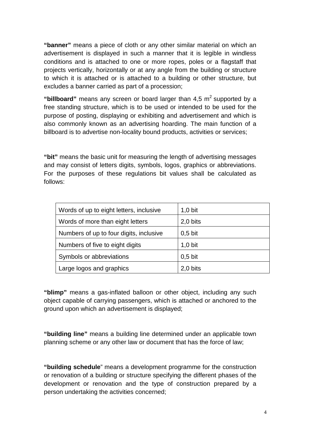**"banner"** means a piece of cloth or any other similar material on which an advertisement is displayed in such a manner that it is legible in windless conditions and is attached to one or more ropes, poles or a flagstaff that projects vertically, horizontally or at any angle from the building or structure to which it is attached or is attached to a building or other structure, but excludes a banner carried as part of a procession;

"**billboard**" means any screen or board larger than  $4.5 \text{ m}^2$  supported by a free standing structure, which is to be used or intended to be used for the purpose of posting, displaying or exhibiting and advertisement and which is also commonly known as an advertising hoarding. The main function of a billboard is to advertise non-locality bound products, activities or services;

**"bit"** means the basic unit for measuring the length of advertising messages and may consist of letters digits, symbols, logos, graphics or abbreviations. For the purposes of these regulations bit values shall be calculated as follows:

| Words of up to eight letters, inclusive | $1,0$ bit |
|-----------------------------------------|-----------|
| Words of more than eight letters        | 2,0 bits  |
| Numbers of up to four digits, inclusive | $0,5$ bit |
| Numbers of five to eight digits         | $1,0$ bit |
| Symbols or abbreviations                | $0,5$ bit |
| Large logos and graphics                | 2,0 bits  |

**"blimp"** means a gas-inflated balloon or other object, including any such object capable of carrying passengers, which is attached or anchored to the ground upon which an advertisement is displayed;

**"building line"** means a building line determined under an applicable town planning scheme or any other law or document that has the force of law;

**"building schedule**" means a development programme for the construction or renovation of a building or structure specifying the different phases of the development or renovation and the type of construction prepared by a person undertaking the activities concerned;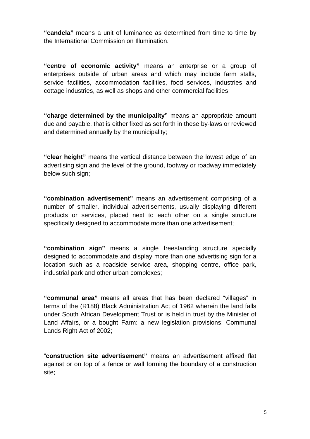**"candela"** means a unit of luminance as determined from time to time by the International Commission on Illumination.

**"centre of economic activity"** means an enterprise or a group of enterprises outside of urban areas and which may include farm stalls, service facilities, accommodation facilities, food services, industries and cottage industries, as well as shops and other commercial facilities;

**"charge determined by the municipality"** means an appropriate amount due and payable, that is either fixed as set forth in these by-laws or reviewed and determined annually by the municipality;

**"clear height"** means the vertical distance between the lowest edge of an advertising sign and the level of the ground, footway or roadway immediately below such sign;

**"combination advertisement"** means an advertisement comprising of a number of smaller, individual advertisements, usually displaying different products or services, placed next to each other on a single structure specifically designed to accommodate more than one advertisement;

**"combination sign"** means a single freestanding structure specially designed to accommodate and display more than one advertising sign for a location such as a roadside service area, shopping centre, office park, industrial park and other urban complexes;

**"communal area"** means all areas that has been declared "villages" in terms of the (R188) Black Administration Act of 1962 wherein the land falls under South African Development Trust or is held in trust by the Minister of Land Affairs, or a bought Farm: a new legislation provisions: Communal Lands Right Act of 2002;

"**construction site advertisement"** means an advertisement affixed flat against or on top of a fence or wall forming the boundary of a construction site;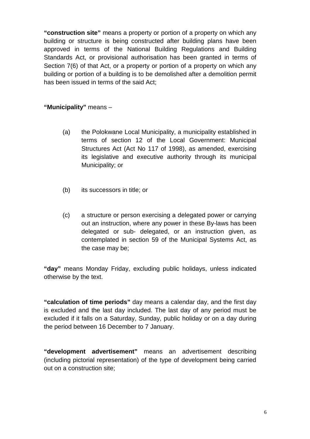**"construction site"** means a property or portion of a property on which any building or structure is being constructed after building plans have been approved in terms of the National Building Regulations and Building Standards Act, or provisional authorisation has been granted in terms of Section 7(6) of that Act, or a property or portion of a property on which any building or portion of a building is to be demolished after a demolition permit has been issued in terms of the said Act;

**"Municipality"** means –

- (a) the Polokwane Local Municipality, a municipality established in terms of section 12 of the Local Government: Municipal Structures Act (Act No 117 of 1998), as amended, exercising its legislative and executive authority through its municipal Municipality; or
- (b) its successors in title; or
- (c) a structure or person exercising a delegated power or carrying out an instruction, where any power in these By-laws has been delegated or sub- delegated, or an instruction given, as contemplated in section 59 of the Municipal Systems Act, as the case may be;

**"day"** means Monday Friday, excluding public holidays, unless indicated otherwise by the text.

**"calculation of time periods"** day means a calendar day, and the first day is excluded and the last day included. The last day of any period must be excluded if it falls on a Saturday, Sunday, public holiday or on a day during the period between 16 December to 7 January.

**"development advertisement"** means an advertisement describing (including pictorial representation) of the type of development being carried out on a construction site;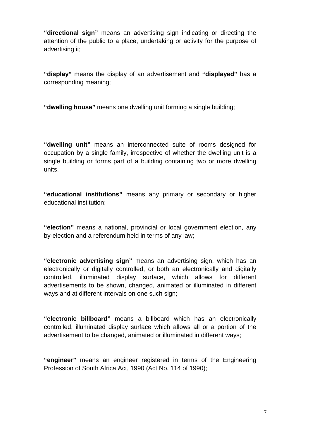**"directional sign"** means an advertising sign indicating or directing the attention of the public to a place, undertaking or activity for the purpose of advertising it;

**"display"** means the display of an advertisement and **"displayed"** has a corresponding meaning;

**"dwelling house"** means one dwelling unit forming a single building;

**"dwelling unit"** means an interconnected suite of rooms designed for occupation by a single family, irrespective of whether the dwelling unit is a single building or forms part of a building containing two or more dwelling units.

**"educational institutions"** means any primary or secondary or higher educational institution;

**"election"** means a national, provincial or local government election, any by-election and a referendum held in terms of any law;

**"electronic advertising sign"** means an advertising sign, which has an electronically or digitally controlled, or both an electronically and digitally controlled, illuminated display surface, which allows for different advertisements to be shown, changed, animated or illuminated in different ways and at different intervals on one such sign;

**"electronic billboard"** means a billboard which has an electronically controlled, illuminated display surface which allows all or a portion of the advertisement to be changed, animated or illuminated in different ways;

**"engineer"** means an engineer registered in terms of the Engineering Profession of South Africa Act, 1990 (Act No. 114 of 1990);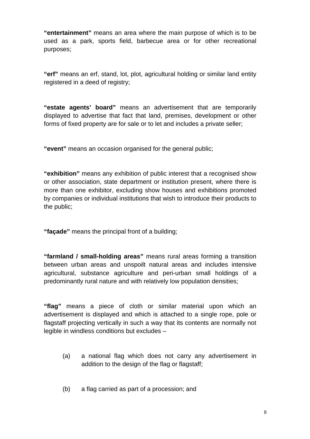**"entertainment"** means an area where the main purpose of which is to be used as a park, sports field, barbecue area or for other recreational purposes;

**"erf"** means an erf, stand, lot, plot, agricultural holding or similar land entity registered in a deed of registry;

**"estate agents' board"** means an advertisement that are temporarily displayed to advertise that fact that land, premises, development or other forms of fixed property are for sale or to let and includes a private seller;

**"event"** means an occasion organised for the general public;

**"exhibition"** means any exhibition of public interest that a recognised show or other association, state department or institution present, where there is more than one exhibitor, excluding show houses and exhibitions promoted by companies or individual institutions that wish to introduce their products to the public;

**"façade"** means the principal front of a building;

**"farmland / small-holding areas"** means rural areas forming a transition between urban areas and unspoilt natural areas and includes intensive agricultural, substance agriculture and peri-urban small holdings of a predominantly rural nature and with relatively low population densities;

**"flag"** means a piece of cloth or similar material upon which an advertisement is displayed and which is attached to a single rope, pole or flagstaff projecting vertically in such a way that its contents are normally not legible in windless conditions but excludes –

- (a) a national flag which does not carry any advertisement in addition to the design of the flag or flagstaff;
- (b) a flag carried as part of a procession; and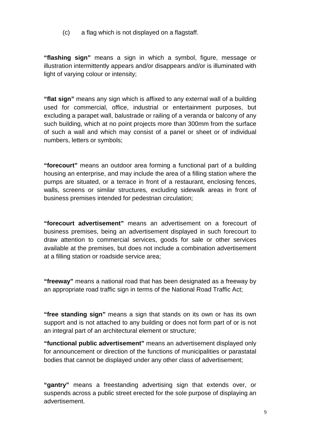(c) a flag which is not displayed on a flagstaff.

**"flashing sign"** means a sign in which a symbol, figure, message or illustration intermittently appears and/or disappears and/or is illuminated with light of varying colour or intensity;

**"flat sign"** means any sign which is affixed to any external wall of a building used for commercial, office, industrial or entertainment purposes, but excluding a parapet wall, balustrade or railing of a veranda or balcony of any such building, which at no point projects more than 300mm from the surface of such a wall and which may consist of a panel or sheet or of individual numbers, letters or symbols;

**"forecourt"** means an outdoor area forming a functional part of a building housing an enterprise, and may include the area of a filling station where the pumps are situated, or a terrace in front of a restaurant, enclosing fences, walls, screens or similar structures, excluding sidewalk areas in front of business premises intended for pedestrian circulation;

**"forecourt advertisement"** means an advertisement on a forecourt of business premises, being an advertisement displayed in such forecourt to draw attention to commercial services, goods for sale or other services available at the premises, but does not include a combination advertisement at a filling station or roadside service area;

**"freeway"** means a national road that has been designated as a freeway by an appropriate road traffic sign in terms of the National Road Traffic Act;

**"free standing sign"** means a sign that stands on its own or has its own support and is not attached to any building or does not form part of or is not an integral part of an architectural element or structure;

**"functional public advertisement"** means an advertisement displayed only for announcement or direction of the functions of municipalities or parastatal bodies that cannot be displayed under any other class of advertisement;

**"gantry"** means a freestanding advertising sign that extends over, or suspends across a public street erected for the sole purpose of displaying an advertisement.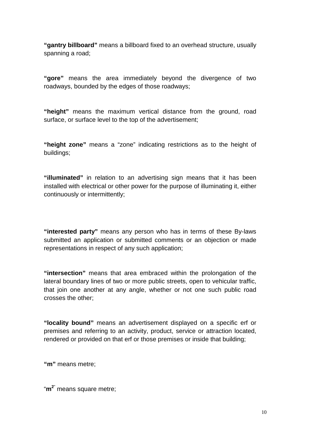**"gantry billboard"** means a billboard fixed to an overhead structure, usually spanning a road;

**"gore"** means the area immediately beyond the divergence of two roadways, bounded by the edges of those roadways;

**"height"** means the maximum vertical distance from the ground, road surface, or surface level to the top of the advertisement;

**"height zone"** means a "zone" indicating restrictions as to the height of buildings;

**"illuminated"** in relation to an advertising sign means that it has been installed with electrical or other power for the purpose of illuminating it, either continuously or intermittently;

**"interested party"** means any person who has in terms of these By-laws submitted an application or submitted comments or an objection or made representations in respect of any such application;

**"intersection"** means that area embraced within the prolongation of the lateral boundary lines of two or more public streets, open to vehicular traffic, that join one another at any angle, whether or not one such public road crosses the other;

**"locality bound"** means an advertisement displayed on a specific erf or premises and referring to an activity, product, service or attraction located, rendered or provided on that erf or those premises or inside that building;

**"m"** means metre;

"**m <sup>2</sup>**" means square metre;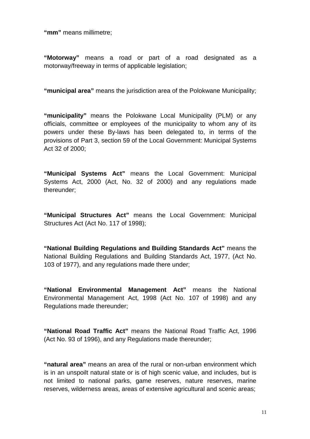**"mm"** means millimetre;

**"Motorway"** means a road or part of a road designated as a motorway/freeway in terms of applicable legislation;

**"municipal area"** means the jurisdiction area of the Polokwane Municipality;

**"municipality"** means the Polokwane Local Municipality (PLM) or any officials, committee or employees of the municipality to whom any of its powers under these By-laws has been delegated to, in terms of the provisions of Part 3, section 59 of the Local Government: Municipal Systems Act 32 of 2000;

**"Municipal Systems Act"** means the Local Government: Municipal Systems Act, 2000 (Act, No. 32 of 2000) and any regulations made thereunder;

**"Municipal Structures Act"** means the Local Government: Municipal Structures Act (Act No. 117 of 1998);

**"National Building Regulations and Building Standards Act"** means the National Building Regulations and Building Standards Act, 1977, (Act No. 103 of 1977), and any regulations made there under;

**"National Environmental Management Act"** means the National Environmental Management Act, 1998 (Act No. 107 of 1998) and any Regulations made thereunder;

**"National Road Traffic Act"** means the National Road Traffic Act, 1996 (Act No. 93 of 1996), and any Regulations made thereunder;

**"natural area"** means an area of the rural or non-urban environment which is in an unspoilt natural state or is of high scenic value, and includes, but is not limited to national parks, game reserves, nature reserves, marine reserves, wilderness areas, areas of extensive agricultural and scenic areas;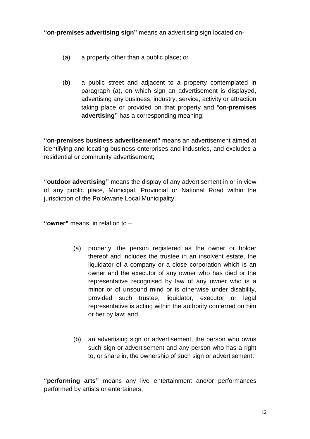**"on-premises advertising sign"** means an advertising sign located on-

- (a) a property other than a public place; or
- (b) a public street and adjacent to a property contemplated in paragraph (a), on which sign an advertisement is displayed, advertising any business, industry, service, activity or attraction taking place or provided on that property and "**on-premises advertising"** has a corresponding meaning;

**"on-premises business advertisement"** means an advertisement aimed at identifying and locating business enterprises and industries, and excludes a residential or community advertisement;

**"outdoor advertising"** means the display of any advertisement in or in view of any public place, Municipal, Provincial or National Road within the jurisdiction of the Polokwane Local Municipality;

**"owner"** means, in relation to –

- (a) property, the person registered as the owner or holder thereof and includes the trustee in an insolvent estate, the liquidator of a company or a close corporation which is an owner and the executor of any owner who has died or the representative recognised by law of any owner who is a minor or of unsound mind or is otherwise under disability, provided such trustee, liquidator, executor or legal representative is acting within the authority conferred on him or her by law; and
- (b) an advertising sign or advertisement, the person who owns such sign or advertisement and any person who has a right to, or share in, the ownership of such sign or advertisement;

**"performing arts"** means any live entertainment and/or performances performed by artists or entertainers;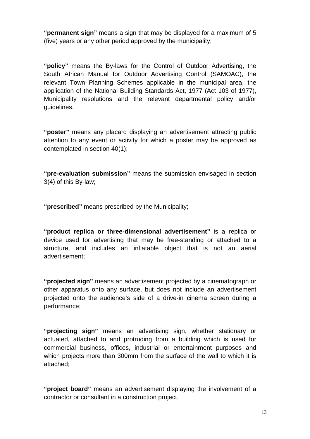**"permanent sign"** means a sign that may be displayed for a maximum of 5 (five) years or any other period approved by the municipality;

**"policy"** means the By-laws for the Control of Outdoor Advertising, the South African Manual for Outdoor Advertising Control (SAMOAC), the relevant Town Planning Schemes applicable in the municipal area, the application of the National Building Standards Act, 1977 (Act 103 of 1977), Municipality resolutions and the relevant departmental policy and/or guidelines.

**"poster"** means any placard displaying an advertisement attracting public attention to any event or activity for which a poster may be approved as contemplated in section 40(1);

**"pre-evaluation submission"** means the submission envisaged in section 3(4) of this By-law;

**"prescribed"** means prescribed by the Municipality;

**"product replica or three-dimensional advertisement"** is a replica or device used for advertising that may be free-standing or attached to a structure, and includes an inflatable object that is not an aerial advertisement;

**"projected sign"** means an advertisement projected by a cinematograph or other apparatus onto any surface, but does not include an advertisement projected onto the audience's side of a drive-in cinema screen during a performance;

**"projecting sign"** means an advertising sign, whether stationary or actuated, attached to and protruding from a building which is used for commercial business, offices, industrial or entertainment purposes and which projects more than 300mm from the surface of the wall to which it is attached;

**"project board"** means an advertisement displaying the involvement of a contractor or consultant in a construction project.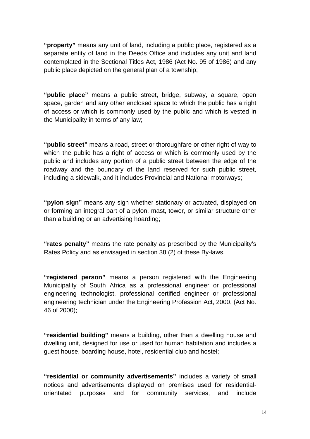**"property"** means any unit of land, including a public place, registered as a separate entity of land in the Deeds Office and includes any unit and land contemplated in the Sectional Titles Act, 1986 (Act No. 95 of 1986) and any public place depicted on the general plan of a township;

**"public place"** means a public street, bridge, subway, a square, open space, garden and any other enclosed space to which the public has a right of access or which is commonly used by the public and which is vested in the Municipality in terms of any law;

**"public street"** means a road, street or thoroughfare or other right of way to which the public has a right of access or which is commonly used by the public and includes any portion of a public street between the edge of the roadway and the boundary of the land reserved for such public street, including a sidewalk, and it includes Provincial and National motorways;

**"pylon sign"** means any sign whether stationary or actuated, displayed on or forming an integral part of a pylon, mast, tower, or similar structure other than a building or an advertising hoarding;

**"rates penalty"** means the rate penalty as prescribed by the Municipality's Rates Policy and as envisaged in section 38 (2) of these By-laws.

**"registered person"** means a person registered with the Engineering Municipality of South Africa as a professional engineer or professional engineering technologist, professional certified engineer or professional engineering technician under the Engineering Profession Act, 2000, (Act No. 46 of 2000);

**"residential building"** means a building, other than a dwelling house and dwelling unit, designed for use or used for human habitation and includes a guest house, boarding house, hotel, residential club and hostel;

**"residential or community advertisements"** includes a variety of small notices and advertisements displayed on premises used for residentialorientated purposes and for community services, and include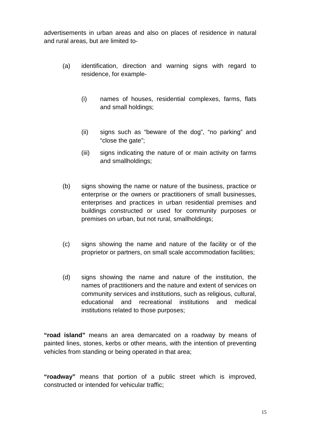advertisements in urban areas and also on places of residence in natural and rural areas, but are limited to-

- (a) identification, direction and warning signs with regard to residence, for example-
	- (i) names of houses, residential complexes, farms, flats and small holdings;
	- (ii) signs such as "beware of the dog", "no parking" and "close the gate";
	- (iii) signs indicating the nature of or main activity on farms and smallholdings;
- (b) signs showing the name or nature of the business, practice or enterprise or the owners or practitioners of small businesses, enterprises and practices in urban residential premises and buildings constructed or used for community purposes or premises on urban, but not rural, smallholdings;
- (c) signs showing the name and nature of the facility or of the proprietor or partners, on small scale accommodation facilities;
- (d) signs showing the name and nature of the institution, the names of practitioners and the nature and extent of services on community services and institutions, such as religious, cultural, educational and recreational institutions and medical institutions related to those purposes;

**"road island"** means an area demarcated on a roadway by means of painted lines, stones, kerbs or other means, with the intention of preventing vehicles from standing or being operated in that area;

**"roadway"** means that portion of a public street which is improved, constructed or intended for vehicular traffic;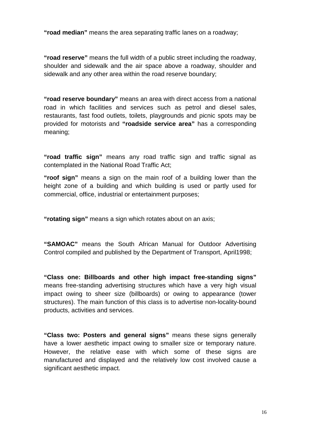**"road median"** means the area separating traffic lanes on a roadway;

**"road reserve"** means the full width of a public street including the roadway, shoulder and sidewalk and the air space above a roadway, shoulder and sidewalk and any other area within the road reserve boundary;

**"road reserve boundary"** means an area with direct access from a national road in which facilities and services such as petrol and diesel sales, restaurants, fast food outlets, toilets, playgrounds and picnic spots may be provided for motorists and **"roadside service area"** has a corresponding meaning;

**"road traffic sign"** means any road traffic sign and traffic signal as contemplated in the National Road Traffic Act;

**"roof sign"** means a sign on the main roof of a building lower than the height zone of a building and which building is used or partly used for commercial, office, industrial or entertainment purposes;

**"rotating sign"** means a sign which rotates about on an axis;

**"SAMOAC"** means the South African Manual for Outdoor Advertising Control compiled and published by the Department of Transport, April1998;

**"Class one: Billboards and other high impact free-standing signs"**  means free-standing advertising structures which have a very high visual impact owing to sheer size (billboards) or owing to appearance (tower structures). The main function of this class is to advertise non-locality-bound products, activities and services.

**"Class two: Posters and general signs"** means these signs generally have a lower aesthetic impact owing to smaller size or temporary nature. However, the relative ease with which some of these signs are manufactured and displayed and the relatively low cost involved cause a significant aesthetic impact.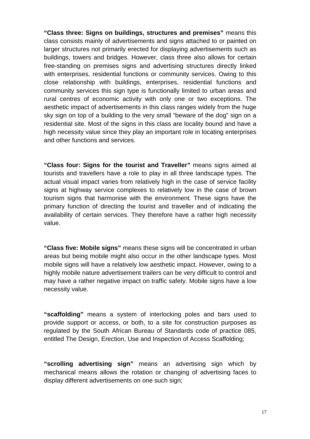**"Class three: Signs on buildings, structures and premises"** means this class consists mainly of advertisements and signs attached to or painted on larger structures not primarily erected for displaying advertisements such as buildings, towers and bridges. However, class three also allows for certain free-standing on premises signs and advertising structures directly linked with enterprises, residential functions or community services. Owing to this close relationship with buildings, enterprises, residential functions and community services this sign type is functionally limited to urban areas and rural centres of economic activity with only one or two exceptions. The aesthetic impact of advertisements in this class ranges widely from the huge sky sign on top of a building to the very small "beware of the dog" sign on a residential site. Most of the signs in this class are locality bound and have a high necessity value since they play an important role in locating enterprises and other functions and services.

**"Class four: Signs for the tourist and Traveller"** means signs aimed at tourists and travellers have a role to play in all three landscape types. The actual visual impact varies from relatively high in the case of service facility signs at highway service complexes to relatively low in the case of brown tourism signs that harmonise with the environment. These signs have the primary function of directing the tourist and traveller and of indicating the availability of certain services. They therefore have a rather high necessity value.

**"Class five: Mobile signs"** means these signs will be concentrated in urban areas but being mobile might also occur in the other landscape types. Most mobile signs will have a relatively low aesthetic impact. However, owing to a highly mobile nature advertisement trailers can be very difficult to control and may have a rather negative impact on traffic safety. Mobile signs have a low necessity value.

**"scaffolding"** means a system of interlocking poles and bars used to provide support or access, or both, to a site for construction purposes as regulated by the South African Bureau of Standards code of practice 085, entitled The Design, Erection, Use and Inspection of Access Scaffolding;

**"scrolling advertising sign"** means an advertising sign which by mechanical means allows the rotation or changing of advertising faces to display different advertisements on one such sign;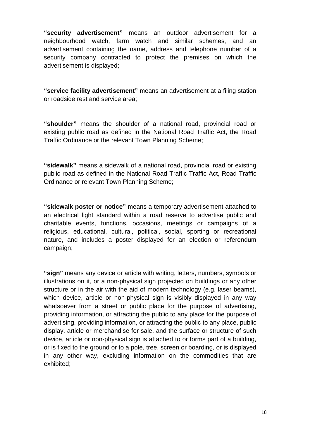**"security advertisement"** means an outdoor advertisement for a neighbourhood watch, farm watch and similar schemes, and an advertisement containing the name, address and telephone number of a security company contracted to protect the premises on which the advertisement is displayed;

**"service facility advertisement"** means an advertisement at a filing station or roadside rest and service area;

**"shoulder"** means the shoulder of a national road, provincial road or existing public road as defined in the National Road Traffic Act, the Road Traffic Ordinance or the relevant Town Planning Scheme;

**"sidewalk"** means a sidewalk of a national road, provincial road or existing public road as defined in the National Road Traffic Traffic Act, Road Traffic Ordinance or relevant Town Planning Scheme;

**"sidewalk poster or notice"** means a temporary advertisement attached to an electrical light standard within a road reserve to advertise public and charitable events, functions, occasions, meetings or campaigns of a religious, educational, cultural, political, social, sporting or recreational nature, and includes a poster displayed for an election or referendum campaign;

**"sign"** means any device or article with writing, letters, numbers, symbols or illustrations on it, or a non-physical sign projected on buildings or any other structure or in the air with the aid of modern technology (e.g. laser beams), which device, article or non-physical sign is visibly displayed in any way whatsoever from a street or public place for the purpose of advertising, providing information, or attracting the public to any place for the purpose of advertising, providing information, or attracting the public to any place, public display, article or merchandise for sale, and the surface or structure of such device, article or non-physical sign is attached to or forms part of a building, or is fixed to the ground or to a pole, tree, screen or boarding, or is displayed in any other way, excluding information on the commodities that are exhibited;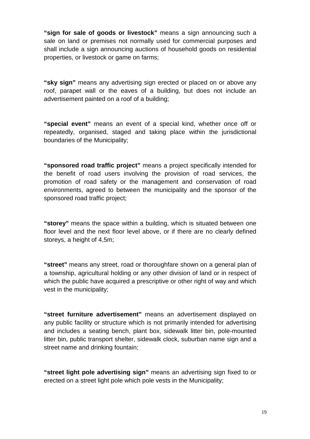**"sign for sale of goods or livestock"** means a sign announcing such a sale on land or premises not normally used for commercial purposes and shall include a sign announcing auctions of household goods on residential properties, or livestock or game on farms;

**"sky sign"** means any advertising sign erected or placed on or above any roof, parapet wall or the eaves of a building, but does not include an advertisement painted on a roof of a building;

**"special event"** means an event of a special kind, whether once off or repeatedly, organised, staged and taking place within the jurisdictional boundaries of the Municipality;

**"sponsored road traffic project"** means a project specifically intended for the benefit of road users involving the provision of road services, the promotion of road safety or the management and conservation of road environments, agreed to between the municipality and the sponsor of the sponsored road traffic project;

**"storey"** means the space within a building, which is situated between one floor level and the next floor level above, or if there are no clearly defined storeys, a height of 4,5m;

**"street"** means any street, road or thoroughfare shown on a general plan of a township, agricultural holding or any other division of land or in respect of which the public have acquired a prescriptive or other right of way and which vest in the municipality;

**"street furniture advertisement"** means an advertisement displayed on any public facility or structure which is not primarily intended for advertising and includes a seating bench, plant box, sidewalk litter bin, pole-mounted litter bin, public transport shelter, sidewalk clock, suburban name sign and a street name and drinking fountain;

**"street light pole advertising sign"** means an advertising sign fixed to or erected on a street light pole which pole vests in the Municipality;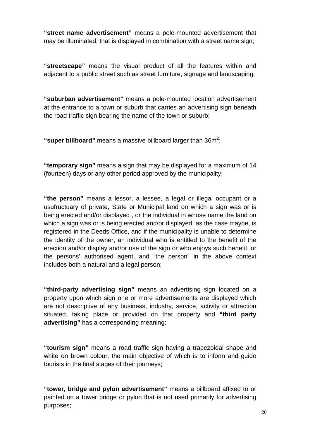**"street name advertisement"** means a pole-mounted advertisement that may be illuminated, that is displayed in combination with a street name sign;

**"streetscape"** means the visual product of all the features within and adjacent to a public street such as street furniture, signage and landscaping;

**"suburban advertisement"** means a pole-mounted location advertisement at the entrance to a town or suburb that carries an advertising sign beneath the road traffic sign bearing the name of the town or suburb;

"super billboard" means a massive billboard larger than 36m<sup>2</sup>;

**"temporary sign"** means a sign that may be displayed for a maximum of 14 (fourteen) days or any other period approved by the municipality;

**"the person"** means a lessor, a lessee, a legal or illegal occupant or a usufructuary of private, State or Municipal land on which a sign was or is being erected and/or displayed , or the individual in whose name the land on which a sign was or is being erected and/or displayed, as the case maybe, is registered in the Deeds Office, and if the municipality is unable to determine the identity of the owner, an individual who is entitled to the benefit of the erection and/or display and/or use of the sign or who enjoys such benefit, or the persons' authorised agent, and "the person" in the above context includes both a natural and a legal person;

**"third-party advertising sign"** means an advertising sign located on a property upon which sign one or more advertisements are displayed which are not descriptive of any business, industry, service, activity or attraction situated, taking place or provided on that property and **"third party advertising"** has a corresponding meaning;

**"tourism sign"** means a road traffic sign having a trapezoidal shape and white on brown colour, the main objective of which is to inform and guide tourists in the final stages of their journeys;

**"tower, bridge and pylon advertisement"** means a billboard affixed to or painted on a tower bridge or pylon that is not used primarily for advertising purposes;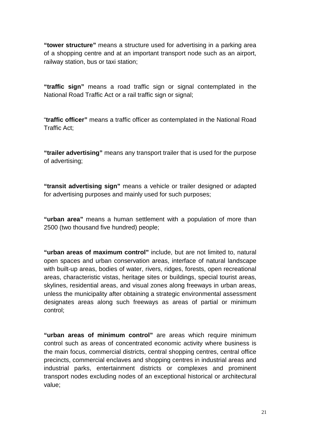**"tower structure"** means a structure used for advertising in a parking area of a shopping centre and at an important transport node such as an airport, railway station, bus or taxi station;

**"traffic sign"** means a road traffic sign or signal contemplated in the National Road Traffic Act or a rail traffic sign or signal;

"**traffic officer"** means a traffic officer as contemplated in the National Road Traffic Act;

**"trailer advertising"** means any transport trailer that is used for the purpose of advertising;

**"transit advertising sign"** means a vehicle or trailer designed or adapted for advertising purposes and mainly used for such purposes;

**"urban area"** means a human settlement with a population of more than 2500 (two thousand five hundred) people;

**"urban areas of maximum control"** include, but are not limited to, natural open spaces and urban conservation areas, interface of natural landscape with built-up areas, bodies of water, rivers, ridges, forests, open recreational areas, characteristic vistas, heritage sites or buildings, special tourist areas, skylines, residential areas, and visual zones along freeways in urban areas, unless the municipality after obtaining a strategic environmental assessment designates areas along such freeways as areas of partial or minimum control;

**"urban areas of minimum control"** are areas which require minimum control such as areas of concentrated economic activity where business is the main focus, commercial districts, central shopping centres, central office precincts, commercial enclaves and shopping centres in industrial areas and industrial parks, entertainment districts or complexes and prominent transport nodes excluding nodes of an exceptional historical or architectural value;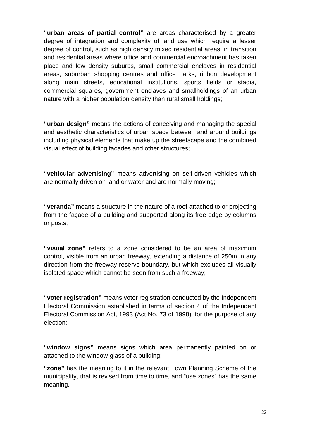**"urban areas of partial control"** are areas characterised by a greater degree of integration and complexity of land use which require a lesser degree of control, such as high density mixed residential areas, in transition and residential areas where office and commercial encroachment has taken place and low density suburbs, small commercial enclaves in residential areas, suburban shopping centres and office parks, ribbon development along main streets, educational institutions, sports fields or stadia, commercial squares, government enclaves and smallholdings of an urban nature with a higher population density than rural small holdings;

**"urban design"** means the actions of conceiving and managing the special and aesthetic characteristics of urban space between and around buildings including physical elements that make up the streetscape and the combined visual effect of building facades and other structures;

**"vehicular advertising"** means advertising on self-driven vehicles which are normally driven on land or water and are normally moving;

**"veranda"** means a structure in the nature of a roof attached to or projecting from the façade of a building and supported along its free edge by columns or posts;

**"visual zone"** refers to a zone considered to be an area of maximum control, visible from an urban freeway, extending a distance of 250m in any direction from the freeway reserve boundary, but which excludes all visually isolated space which cannot be seen from such a freeway;

**"voter registration"** means voter registration conducted by the Independent Electoral Commission established in terms of section 4 of the Independent Electoral Commission Act, 1993 (Act No. 73 of 1998), for the purpose of any election;

**"window signs"** means signs which area permanently painted on or attached to the window-glass of a building;

**"zone"** has the meaning to it in the relevant Town Planning Scheme of the municipality, that is revised from time to time, and "use zones" has the same meaning.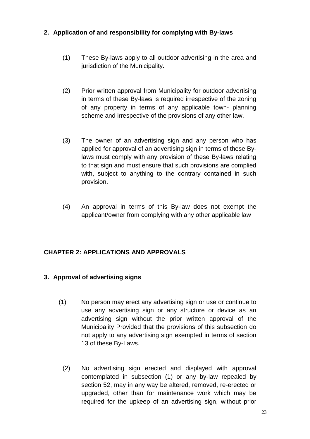#### **2. Application of and responsibility for complying with By-laws**

- (1) These By-laws apply to all outdoor advertising in the area and jurisdiction of the Municipality.
- (2) Prior written approval from Municipality for outdoor advertising in terms of these By-laws is required irrespective of the zoning of any property in terms of any applicable town- planning scheme and irrespective of the provisions of any other law.
- (3) The owner of an advertising sign and any person who has applied for approval of an advertising sign in terms of these Bylaws must comply with any provision of these By-laws relating to that sign and must ensure that such provisions are complied with, subject to anything to the contrary contained in such provision.
- (4) An approval in terms of this By-law does not exempt the applicant/owner from complying with any other applicable law

#### **CHAPTER 2: APPLICATIONS AND APPROVALS**

#### **3. Approval of advertising signs**

- (1) No person may erect any advertising sign or use or continue to use any advertising sign or any structure or device as an advertising sign without the prior written approval of the Municipality Provided that the provisions of this subsection do not apply to any advertising sign exempted in terms of section 13 of these By-Laws.
	- (2) No advertising sign erected and displayed with approval contemplated in subsection (1) or any by-law repealed by section 52, may in any way be altered, removed, re-erected or upgraded, other than for maintenance work which may be required for the upkeep of an advertising sign, without prior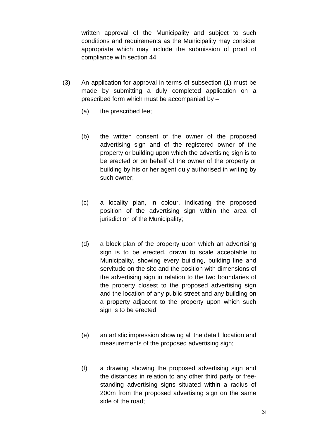written approval of the Municipality and subject to such conditions and requirements as the Municipality may consider appropriate which may include the submission of proof of compliance with section 44.

- (3) An application for approval in terms of subsection (1) must be made by submitting a duly completed application on a prescribed form which must be accompanied by –
	- (a) the prescribed fee;
	- (b) the written consent of the owner of the proposed advertising sign and of the registered owner of the property or building upon which the advertising sign is to be erected or on behalf of the owner of the property or building by his or her agent duly authorised in writing by such owner;
	- (c) a locality plan, in colour, indicating the proposed position of the advertising sign within the area of jurisdiction of the Municipality;
	- (d) a block plan of the property upon which an advertising sign is to be erected, drawn to scale acceptable to Municipality, showing every building, building line and servitude on the site and the position with dimensions of the advertising sign in relation to the two boundaries of the property closest to the proposed advertising sign and the location of any public street and any building on a property adjacent to the property upon which such sign is to be erected;
	- (e) an artistic impression showing all the detail, location and measurements of the proposed advertising sign;
	- (f) a drawing showing the proposed advertising sign and the distances in relation to any other third party or freestanding advertising signs situated within a radius of 200m from the proposed advertising sign on the same side of the road;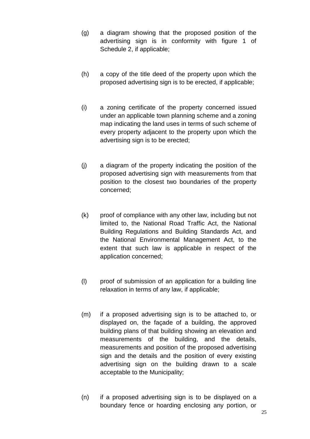- (g) a diagram showing that the proposed position of the advertising sign is in conformity with figure 1 of Schedule 2, if applicable;
- (h) a copy of the title deed of the property upon which the proposed advertising sign is to be erected, if applicable;
- (i) a zoning certificate of the property concerned issued under an applicable town planning scheme and a zoning map indicating the land uses in terms of such scheme of every property adjacent to the property upon which the advertising sign is to be erected;
- (j) a diagram of the property indicating the position of the proposed advertising sign with measurements from that position to the closest two boundaries of the property concerned;
- (k) proof of compliance with any other law, including but not limited to, the National Road Traffic Act, the National Building Regulations and Building Standards Act, and the National Environmental Management Act, to the extent that such law is applicable in respect of the application concerned;
- (l) proof of submission of an application for a building line relaxation in terms of any law, if applicable;
- (m) if a proposed advertising sign is to be attached to, or displayed on, the façade of a building, the approved building plans of that building showing an elevation and measurements of the building, and the details, measurements and position of the proposed advertising sign and the details and the position of every existing advertising sign on the building drawn to a scale acceptable to the Municipality;
- (n) if a proposed advertising sign is to be displayed on a boundary fence or hoarding enclosing any portion, or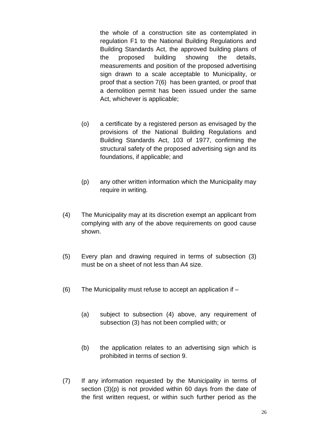the whole of a construction site as contemplated in regulation F1 to the National Building Regulations and Building Standards Act, the approved building plans of the proposed building showing the details, measurements and position of the proposed advertising sign drawn to a scale acceptable to Municipality, or proof that a section 7(6) has been granted, or proof that a demolition permit has been issued under the same Act, whichever is applicable;

- (o) a certificate by a registered person as envisaged by the provisions of the National Building Regulations and Building Standards Act, 103 of 1977, confirming the structural safety of the proposed advertising sign and its foundations, if applicable; and
- (p) any other written information which the Municipality may require in writing.
- (4) The Municipality may at its discretion exempt an applicant from complying with any of the above requirements on good cause shown.
- (5) Every plan and drawing required in terms of subsection (3) must be on a sheet of not less than A4 size.
- (6) The Municipality must refuse to accept an application if
	- (a) subject to subsection (4) above, any requirement of subsection (3) has not been complied with; or
	- (b) the application relates to an advertising sign which is prohibited in terms of section 9.
- (7) If any information requested by the Municipality in terms of section (3)(p) is not provided within 60 days from the date of the first written request, or within such further period as the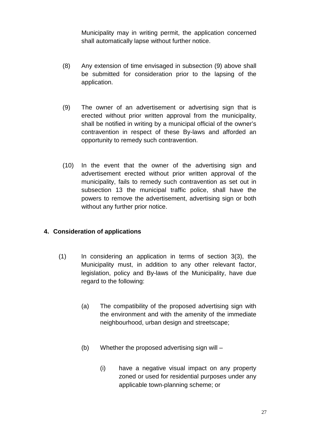Municipality may in writing permit, the application concerned shall automatically lapse without further notice.

- (8) Any extension of time envisaged in subsection (9) above shall be submitted for consideration prior to the lapsing of the application.
- (9) The owner of an advertisement or advertising sign that is erected without prior written approval from the municipality, shall be notified in writing by a municipal official of the owner's contravention in respect of these By-laws and afforded an opportunity to remedy such contravention.
- (10) In the event that the owner of the advertising sign and advertisement erected without prior written approval of the municipality, fails to remedy such contravention as set out in subsection 13 the municipal traffic police, shall have the powers to remove the advertisement, advertising sign or both without any further prior notice.

#### **4. Consideration of applications**

- (1) In considering an application in terms of section 3(3), the Municipality must, in addition to any other relevant factor, legislation, policy and By-laws of the Municipality, have due regard to the following:
	- (a) The compatibility of the proposed advertising sign with the environment and with the amenity of the immediate neighbourhood, urban design and streetscape;
	- (b) Whether the proposed advertising sign will
		- (i) have a negative visual impact on any property zoned or used for residential purposes under any applicable town-planning scheme; or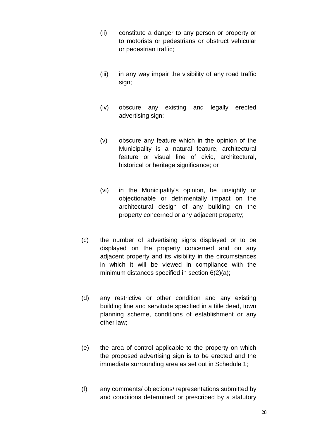- (ii) constitute a danger to any person or property or to motorists or pedestrians or obstruct vehicular or pedestrian traffic;
- (iii) in any way impair the visibility of any road traffic sign;
- (iv) obscure any existing and legally erected advertising sign;
- (v) obscure any feature which in the opinion of the Municipality is a natural feature, architectural feature or visual line of civic, architectural, historical or heritage significance; or
- (vi) in the Municipality's opinion, be unsightly or objectionable or detrimentally impact on the architectural design of any building on the property concerned or any adjacent property;
- (c) the number of advertising signs displayed or to be displayed on the property concerned and on any adjacent property and its visibility in the circumstances in which it will be viewed in compliance with the minimum distances specified in section 6(2)(a);
- (d) any restrictive or other condition and any existing building line and servitude specified in a title deed, town planning scheme, conditions of establishment or any other law;
- (e) the area of control applicable to the property on which the proposed advertising sign is to be erected and the immediate surrounding area as set out in Schedule 1;
- (f) any comments/ objections/ representations submitted by and conditions determined or prescribed by a statutory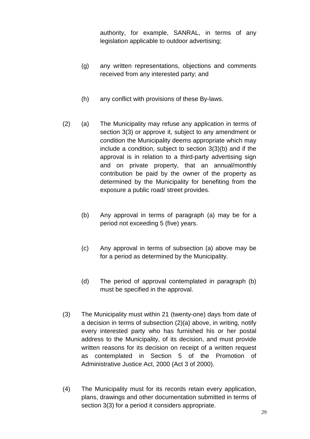authority, for example, SANRAL, in terms of any legislation applicable to outdoor advertising;

- (g) any written representations, objections and comments received from any interested party; and
- (h) any conflict with provisions of these By-laws.
- (2) (a) The Municipality may refuse any application in terms of section 3(3) or approve it, subject to any amendment or condition the Municipality deems appropriate which may include a condition, subject to section 3(3)(b) and if the approval is in relation to a third-party advertising sign and on private property, that an annual/monthly contribution be paid by the owner of the property as determined by the Municipality for benefiting from the exposure a public road/ street provides.
	- (b) Any approval in terms of paragraph (a) may be for a period not exceeding 5 (five) years.
	- (c) Any approval in terms of subsection (a) above may be for a period as determined by the Municipality.
	- (d) The period of approval contemplated in paragraph (b) must be specified in the approval.
- (3) The Municipality must within 21 (twenty-one) days from date of a decision in terms of subsection (2)(a) above, in writing, notify every interested party who has furnished his or her postal address to the Municipality, of its decision, and must provide written reasons for its decision on receipt of a written request as contemplated in Section 5 of the Promotion of Administrative Justice Act, 2000 (Act 3 of 2000).
- (4) The Municipality must for its records retain every application, plans, drawings and other documentation submitted in terms of section 3(3) for a period it considers appropriate.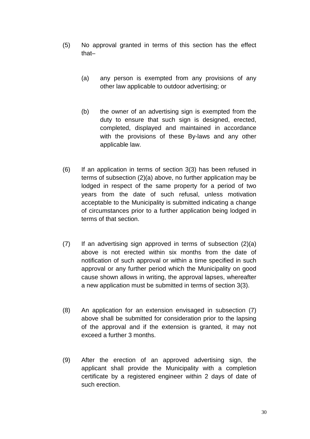- (5) No approval granted in terms of this section has the effect that–
	- (a) any person is exempted from any provisions of any other law applicable to outdoor advertising; or
	- (b) the owner of an advertising sign is exempted from the duty to ensure that such sign is designed, erected, completed, displayed and maintained in accordance with the provisions of these By-laws and any other applicable law.
- (6) If an application in terms of section 3(3) has been refused in terms of subsection (2)(a) above, no further application may be lodged in respect of the same property for a period of two years from the date of such refusal, unless motivation acceptable to the Municipality is submitted indicating a change of circumstances prior to a further application being lodged in terms of that section.
- (7) If an advertising sign approved in terms of subsection (2)(a) above is not erected within six months from the date of notification of such approval or within a time specified in such approval or any further period which the Municipality on good cause shown allows in writing, the approval lapses, whereafter a new application must be submitted in terms of section 3(3).
- (8) An application for an extension envisaged in subsection (7) above shall be submitted for consideration prior to the lapsing of the approval and if the extension is granted, it may not exceed a further 3 months.
- (9) After the erection of an approved advertising sign, the applicant shall provide the Municipality with a completion certificate by a registered engineer within 2 days of date of such erection.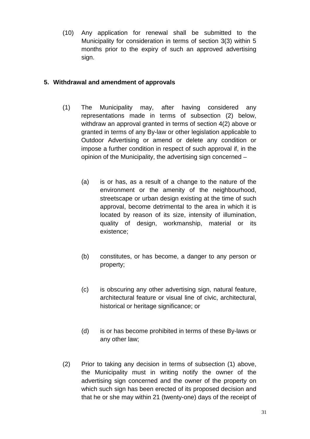(10) Any application for renewal shall be submitted to the Municipality for consideration in terms of section 3(3) within 5 months prior to the expiry of such an approved advertising sign.

### **5. Withdrawal and amendment of approvals**

- (1) The Municipality may, after having considered any representations made in terms of subsection (2) below, withdraw an approval granted in terms of section 4(2) above or granted in terms of any By-law or other legislation applicable to Outdoor Advertising or amend or delete any condition or impose a further condition in respect of such approval if, in the opinion of the Municipality, the advertising sign concerned –
	- (a) is or has, as a result of a change to the nature of the environment or the amenity of the neighbourhood, streetscape or urban design existing at the time of such approval, become detrimental to the area in which it is located by reason of its size, intensity of illumination, quality of design, workmanship, material or its existence;
	- (b) constitutes, or has become, a danger to any person or property;
	- (c) is obscuring any other advertising sign, natural feature, architectural feature or visual line of civic, architectural, historical or heritage significance; or
	- (d) is or has become prohibited in terms of these By-laws or any other law;
- (2) Prior to taking any decision in terms of subsection (1) above, the Municipality must in writing notify the owner of the advertising sign concerned and the owner of the property on which such sign has been erected of its proposed decision and that he or she may within 21 (twenty-one) days of the receipt of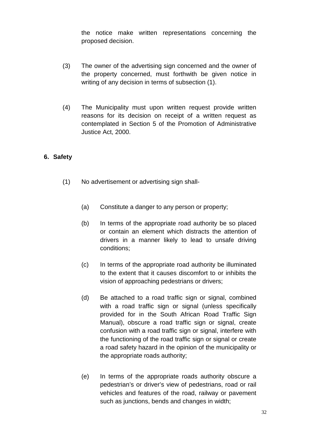the notice make written representations concerning the proposed decision.

- (3) The owner of the advertising sign concerned and the owner of the property concerned, must forthwith be given notice in writing of any decision in terms of subsection (1).
- (4) The Municipality must upon written request provide written reasons for its decision on receipt of a written request as contemplated in Section 5 of the Promotion of Administrative Justice Act, 2000.

#### **6. Safety**

- (1) No advertisement or advertising sign shall-
	- (a) Constitute a danger to any person or property;
	- (b) In terms of the appropriate road authority be so placed or contain an element which distracts the attention of drivers in a manner likely to lead to unsafe driving conditions;
	- (c) In terms of the appropriate road authority be illuminated to the extent that it causes discomfort to or inhibits the vision of approaching pedestrians or drivers;
	- (d) Be attached to a road traffic sign or signal, combined with a road traffic sign or signal (unless specifically provided for in the South African Road Traffic Sign Manual), obscure a road traffic sign or signal, create confusion with a road traffic sign or signal, interfere with the functioning of the road traffic sign or signal or create a road safety hazard in the opinion of the municipality or the appropriate roads authority;
	- (e) In terms of the appropriate roads authority obscure a pedestrian's or driver's view of pedestrians, road or rail vehicles and features of the road, railway or pavement such as junctions, bends and changes in width;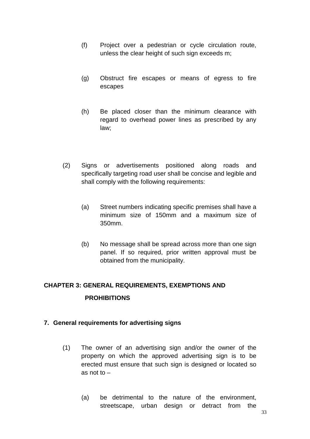- (f) Project over a pedestrian or cycle circulation route, unless the clear height of such sign exceeds m;
- (g) Obstruct fire escapes or means of egress to fire escapes
- (h) Be placed closer than the minimum clearance with regard to overhead power lines as prescribed by any law;
- (2) Signs or advertisements positioned along roads and specifically targeting road user shall be concise and legible and shall comply with the following requirements:
	- (a) Street numbers indicating specific premises shall have a minimum size of 150mm and a maximum size of 350mm.
	- (b) No message shall be spread across more than one sign panel. If so required, prior written approval must be obtained from the municipality.

# **CHAPTER 3: GENERAL REQUIREMENTS, EXEMPTIONS AND PROHIBITIONS**

#### **7. General requirements for advertising signs**

- (1) The owner of an advertising sign and/or the owner of the property on which the approved advertising sign is to be erected must ensure that such sign is designed or located so as not to –
	- (a) be detrimental to the nature of the environment, streetscape, urban design or detract from the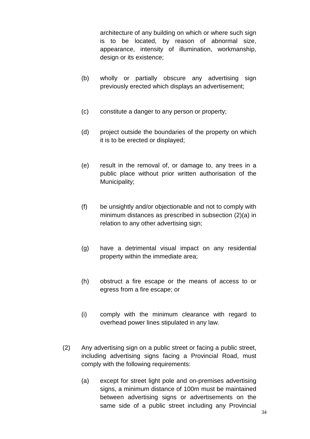architecture of any building on which or where such sign is to be located, by reason of abnormal size, appearance, intensity of illumination, workmanship, design or its existence;

- (b) wholly or partially obscure any advertising sign previously erected which displays an advertisement;
- (c) constitute a danger to any person or property;
- (d) project outside the boundaries of the property on which it is to be erected or displayed;
- (e) result in the removal of, or damage to, any trees in a public place without prior written authorisation of the Municipality;
- (f) be unsightly and/or objectionable and not to comply with minimum distances as prescribed in subsection (2)(a) in relation to any other advertising sign;
- (g) have a detrimental visual impact on any residential property within the immediate area;
- (h) obstruct a fire escape or the means of access to or egress from a fire escape; or
- (i) comply with the minimum clearance with regard to overhead power lines stipulated in any law.
- (2) Any advertising sign on a public street or facing a public street, including advertising signs facing a Provincial Road, must comply with the following requirements:
	- (a) except for street light pole and on-premises advertising signs, a minimum distance of 100m must be maintained between advertising signs or advertisements on the same side of a public street including any Provincial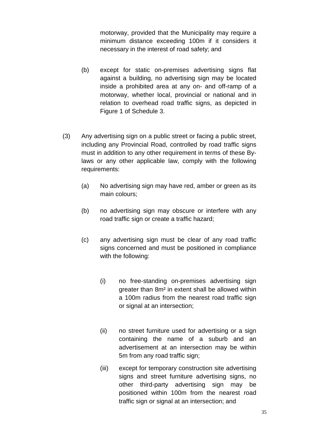motorway, provided that the Municipality may require a minimum distance exceeding 100m if it considers it necessary in the interest of road safety; and

- (b) except for static on-premises advertising signs flat against a building, no advertising sign may be located inside a prohibited area at any on- and off-ramp of a motorway, whether local, provincial or national and in relation to overhead road traffic signs, as depicted in Figure 1 of Schedule 3.
- (3) Any advertising sign on a public street or facing a public street, including any Provincial Road, controlled by road traffic signs must in addition to any other requirement in terms of these Bylaws or any other applicable law, comply with the following requirements:
	- (a) No advertising sign may have red, amber or green as its main colours;
	- (b) no advertising sign may obscure or interfere with any road traffic sign or create a traffic hazard;
	- (c) any advertising sign must be clear of any road traffic signs concerned and must be positioned in compliance with the following:
		- (i) no free-standing on-premises advertising sign greater than 8m² in extent shall be allowed within a 100m radius from the nearest road traffic sign or signal at an intersection;
		- (ii) no street furniture used for advertising or a sign containing the name of a suburb and an advertisement at an intersection may be within 5m from any road traffic sign;
		- (iii) except for temporary construction site advertising signs and street furniture advertising signs, no other third-party advertising sign may be positioned within 100m from the nearest road traffic sign or signal at an intersection; and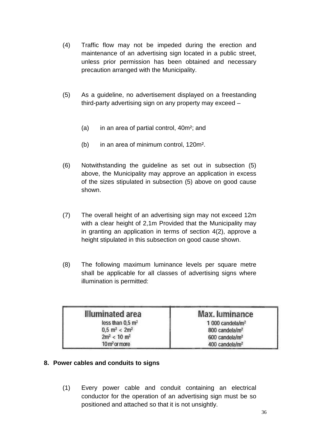- (4) Traffic flow may not be impeded during the erection and maintenance of an advertising sign located in a public street, unless prior permission has been obtained and necessary precaution arranged with the Municipality.
- (5) As a guideline, no advertisement displayed on a freestanding third-party advertising sign on any property may exceed –
	- (a) in an area of partial control, 40m²; and
	- (b) in an area of minimum control, 120m².
- (6) Notwithstanding the guideline as set out in subsection (5) above, the Municipality may approve an application in excess of the sizes stipulated in subsection (5) above on good cause shown.
- (7) The overall height of an advertising sign may not exceed 12m with a clear height of 2,1m Provided that the Municipality may in granting an application in terms of section 4(2), approve a height stipulated in this subsection on good cause shown.
- (8) The following maximum luminance levels per square metre shall be applicable for all classes of advertising signs where illumination is permitted:

| <b>Illuminated area</b>               | Max. luminance               |
|---------------------------------------|------------------------------|
| less than 0.5 m <sup>2</sup>          | 1 000 candela/m <sup>2</sup> |
| $0.5 \, \text{m}^2 < 2 \, \text{m}^2$ | 800 candela/m <sup>2</sup>   |
| $2m^2 < 10 m^2$                       | 600 candela/m <sup>2</sup>   |
| 10 <sub>m<sup>2</sup> or more</sub>   | 400 candela/m <sup>2</sup>   |

## **8. Power cables and conduits to signs**

(1) Every power cable and conduit containing an electrical conductor for the operation of an advertising sign must be so positioned and attached so that it is not unsightly.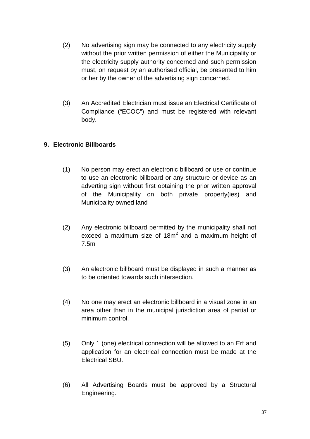- (2) No advertising sign may be connected to any electricity supply without the prior written permission of either the Municipality or the electricity supply authority concerned and such permission must, on request by an authorised official, be presented to him or her by the owner of the advertising sign concerned.
- (3) An Accredited Electrician must issue an Electrical Certificate of Compliance ("ECOC") and must be registered with relevant body.

## **9. Electronic Billboards**

- (1) No person may erect an electronic billboard or use or continue to use an electronic billboard or any structure or device as an adverting sign without first obtaining the prior written approval of the Municipality on both private property(ies) and Municipality owned land
- (2) Any electronic billboard permitted by the municipality shall not exceed a maximum size of  $18m^2$  and a maximum height of 7.5m
- (3) An electronic billboard must be displayed in such a manner as to be oriented towards such intersection.
- (4) No one may erect an electronic billboard in a visual zone in an area other than in the municipal jurisdiction area of partial or minimum control.
- (5) Only 1 (one) electrical connection will be allowed to an Erf and application for an electrical connection must be made at the Electrical SBU.
- (6) All Advertising Boards must be approved by a Structural Engineering.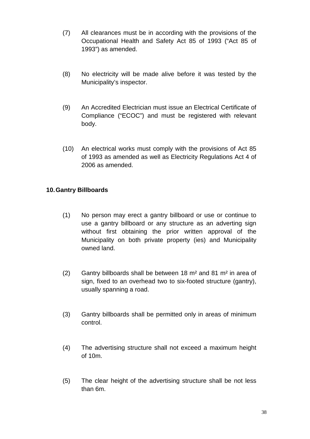- (7) All clearances must be in according with the provisions of the Occupational Health and Safety Act 85 of 1993 ("Act 85 of 1993") as amended.
- (8) No electricity will be made alive before it was tested by the Municipality's inspector.
- (9) An Accredited Electrician must issue an Electrical Certificate of Compliance ("ECOC") and must be registered with relevant body.
- (10) An electrical works must comply with the provisions of Act 85 of 1993 as amended as well as Electricity Regulations Act 4 of 2006 as amended.

## **10. Gantry Billboards**

- (1) No person may erect a gantry billboard or use or continue to use a gantry billboard or any structure as an adverting sign without first obtaining the prior written approval of the Municipality on both private property (ies) and Municipality owned land.
- (2) Gantry billboards shall be between 18 m² and 81 m² in area of sign, fixed to an overhead two to six-footed structure (gantry), usually spanning a road.
- (3) Gantry billboards shall be permitted only in areas of minimum control.
- (4) The advertising structure shall not exceed a maximum height of 10m.
- (5) The clear height of the advertising structure shall be not less than 6m.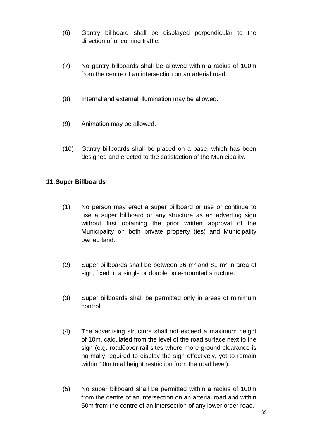- (6) Gantry billboard shall be displayed perpendicular to the direction of oncoming traffic.
- (7) No gantry billboards shall be allowed within a radius of 100m from the centre of an intersection on an arterial road.
- (8) Internal and external illumination may be allowed.
- (9) Animation may be allowed.
- (10) Gantry billboards shall be placed on a base, which has been designed and erected to the satisfaction of the Municipality.

#### **11. Super Billboards**

- (1) No person may erect a super billboard or use or continue to use a super billboard or any structure as an adverting sign without first obtaining the prior written approval of the Municipality on both private property (ies) and Municipality owned land.
- (2) Super billboards shall be between 36 m² and 81 m² in area of sign, fixed to a single or double pole-mounted structure.
- (3) Super billboards shall be permitted only in areas of minimum control.
- (4) The advertising structure shall not exceed a maximum height of 10m, calculated from the level of the road surface next to the sign (e.g. road0over-rail sites where more ground clearance is normally required to display the sign effectively, yet to remain within 10m total height restriction from the road level).
- (5) No super billboard shall be permitted within a radius of 100m from the centre of an intersection on an arterial road and within 50m from the centre of an intersection of any lower order road.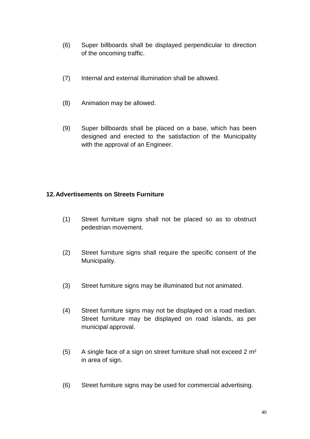- (6) Super billboards shall be displayed perpendicular to direction of the oncoming traffic.
- (7) Internal and external illumination shall be allowed.
- (8) Animation may be allowed.
- (9) Super billboards shall be placed on a base, which has been designed and erected to the satisfaction of the Municipality with the approval of an Engineer.

#### **12. Advertisements on Streets Furniture**

- (1) Street furniture signs shall not be placed so as to obstruct pedestrian movement.
- (2) Street furniture signs shall require the specific consent of the Municipality.
- (3) Street furniture signs may be illuminated but not animated.
- (4) Street furniture signs may not be displayed on a road median. Street furniture may be displayed on road islands, as per municipal approval.
- (5) A single face of a sign on street furniture shall not exceed  $2 \text{ m}^2$ in area of sign.
- (6) Street furniture signs may be used for commercial advertising.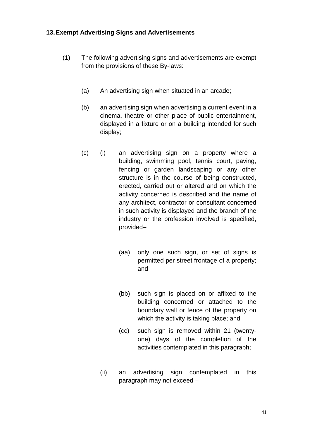#### **13. Exempt Advertising Signs and Advertisements**

- (1) The following advertising signs and advertisements are exempt from the provisions of these By-laws:
	- (a) An advertising sign when situated in an arcade;
	- (b) an advertising sign when advertising a current event in a cinema, theatre or other place of public entertainment, displayed in a fixture or on a building intended for such display;
	- (c) (i) an advertising sign on a property where a building, swimming pool, tennis court, paving, fencing or garden landscaping or any other structure is in the course of being constructed, erected, carried out or altered and on which the activity concerned is described and the name of any architect, contractor or consultant concerned in such activity is displayed and the branch of the industry or the profession involved is specified, provided–
		- (aa) only one such sign, or set of signs is permitted per street frontage of a property; and
		- (bb) such sign is placed on or affixed to the building concerned or attached to the boundary wall or fence of the property on which the activity is taking place; and
		- (cc) such sign is removed within 21 (twentyone) days of the completion of the activities contemplated in this paragraph;
		- (ii) an advertising sign contemplated in this paragraph may not exceed –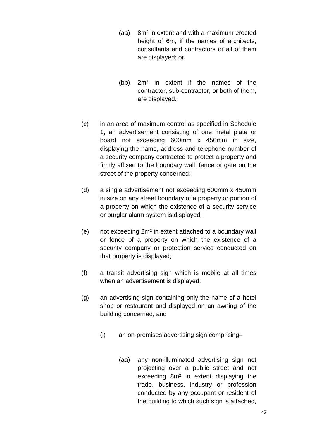- (aa) 8m² in extent and with a maximum erected height of 6m, if the names of architects, consultants and contractors or all of them are displayed; or
- (bb) 2m² in extent if the names of the contractor, sub-contractor, or both of them, are displayed.
- (c) in an area of maximum control as specified in Schedule 1, an advertisement consisting of one metal plate or board not exceeding 600mm x 450mm in size, displaying the name, address and telephone number of a security company contracted to protect a property and firmly affixed to the boundary wall, fence or gate on the street of the property concerned;
- (d) a single advertisement not exceeding 600mm x 450mm in size on any street boundary of a property or portion of a property on which the existence of a security service or burglar alarm system is displayed;
- (e) not exceeding 2m² in extent attached to a boundary wall or fence of a property on which the existence of a security company or protection service conducted on that property is displayed;
- (f) a transit advertising sign which is mobile at all times when an advertisement is displayed;
- (g) an advertising sign containing only the name of a hotel shop or restaurant and displayed on an awning of the building concerned; and
	- (i) an on-premises advertising sign comprising–
		- (aa) any non-illuminated advertising sign not projecting over a public street and not exceeding 8m² in extent displaying the trade, business, industry or profession conducted by any occupant or resident of the building to which such sign is attached,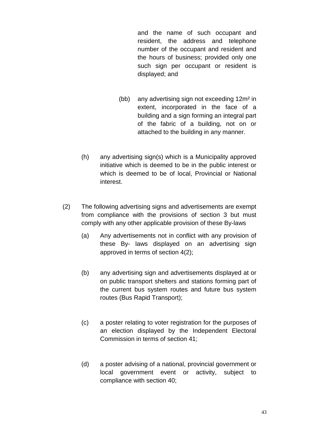and the name of such occupant and resident, the address and telephone number of the occupant and resident and the hours of business; provided only one such sign per occupant or resident is displayed; and

- (bb) any advertising sign not exceeding 12m² in extent, incorporated in the face of a building and a sign forming an integral part of the fabric of a building, not on or attached to the building in any manner.
- (h) any advertising sign(s) which is a Municipality approved initiative which is deemed to be in the public interest or which is deemed to be of local, Provincial or National interest.
- (2) The following advertising signs and advertisements are exempt from compliance with the provisions of section 3 but must comply with any other applicable provision of these By-laws
	- (a) Any advertisements not in conflict with any provision of these By- laws displayed on an advertising sign approved in terms of section 4(2);
	- (b) any advertising sign and advertisements displayed at or on public transport shelters and stations forming part of the current bus system routes and future bus system routes (Bus Rapid Transport);
	- (c) a poster relating to voter registration for the purposes of an election displayed by the Independent Electoral Commission in terms of section 41;
	- (d) a poster advising of a national, provincial government or local government event or activity, subject to compliance with section 40;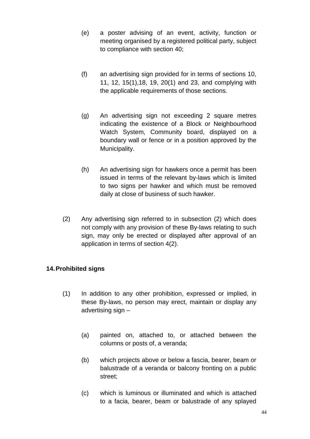- (e) a poster advising of an event, activity, function or meeting organised by a registered political party, subject to compliance with section 40;
- (f) an advertising sign provided for in terms of sections 10, 11, 12, 15(1),18, 19, 20(1) and 23, and complying with the applicable requirements of those sections.
- (g) An advertising sign not exceeding 2 square metres indicating the existence of a Block or Neighbourhood Watch System, Community board, displayed on a boundary wall or fence or in a position approved by the Municipality.
- (h) An advertising sign for hawkers once a permit has been issued in terms of the relevant by-laws which is limited to two signs per hawker and which must be removed daily at close of business of such hawker.
- (2) Any advertising sign referred to in subsection (2) which does not comply with any provision of these By-laws relating to such sign, may only be erected or displayed after approval of an application in terms of section 4(2).

## **14. Prohibited signs**

- (1) In addition to any other prohibition, expressed or implied, in these By-laws, no person may erect, maintain or display any advertising sign –
	- (a) painted on, attached to, or attached between the columns or posts of, a veranda;
	- (b) which projects above or below a fascia, bearer, beam or balustrade of a veranda or balcony fronting on a public street;
	- (c) which is luminous or illuminated and which is attached to a facia, bearer, beam or balustrade of any splayed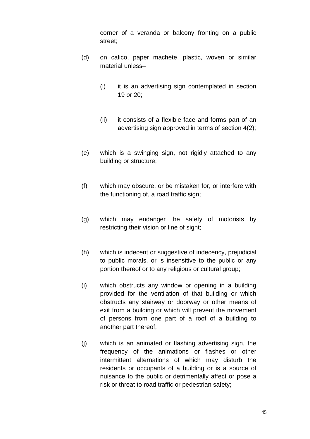corner of a veranda or balcony fronting on a public street;

- (d) on calico, paper machete, plastic, woven or similar material unless–
	- (i) it is an advertising sign contemplated in section 19 or 20;
	- (ii) it consists of a flexible face and forms part of an advertising sign approved in terms of section 4(2);
- (e) which is a swinging sign, not rigidly attached to any building or structure;
- (f) which may obscure, or be mistaken for, or interfere with the functioning of, a road traffic sign;
- (g) which may endanger the safety of motorists by restricting their vision or line of sight;
- (h) which is indecent or suggestive of indecency, prejudicial to public morals, or is insensitive to the public or any portion thereof or to any religious or cultural group;
- (i) which obstructs any window or opening in a building provided for the ventilation of that building or which obstructs any stairway or doorway or other means of exit from a building or which will prevent the movement of persons from one part of a roof of a building to another part thereof;
- (j) which is an animated or flashing advertising sign, the frequency of the animations or flashes or other intermittent alternations of which may disturb the residents or occupants of a building or is a source of nuisance to the public or detrimentally affect or pose a risk or threat to road traffic or pedestrian safety;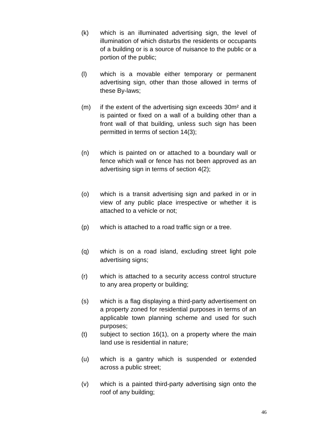- (k) which is an illuminated advertising sign, the level of illumination of which disturbs the residents or occupants of a building or is a source of nuisance to the public or a portion of the public;
- (l) which is a movable either temporary or permanent advertising sign, other than those allowed in terms of these By-laws;
- (m) if the extent of the advertising sign exceeds 30m² and it is painted or fixed on a wall of a building other than a front wall of that building, unless such sign has been permitted in terms of section 14(3);
- (n) which is painted on or attached to a boundary wall or fence which wall or fence has not been approved as an advertising sign in terms of section 4(2);
- (o) which is a transit advertising sign and parked in or in view of any public place irrespective or whether it is attached to a vehicle or not;
- (p) which is attached to a road traffic sign or a tree.
- (q) which is on a road island, excluding street light pole advertising signs;
- (r) which is attached to a security access control structure to any area property or building;
- (s) which is a flag displaying a third-party advertisement on a property zoned for residential purposes in terms of an applicable town planning scheme and used for such purposes;
- $(t)$  subject to section 16(1), on a property where the main land use is residential in nature;
- (u) which is a gantry which is suspended or extended across a public street;
- (v) which is a painted third-party advertising sign onto the roof of any building;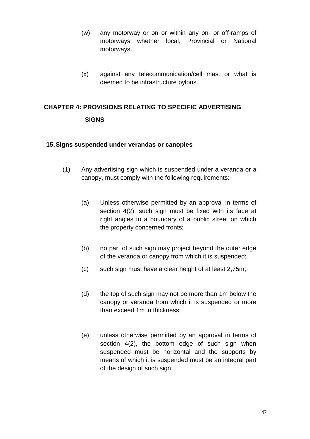- (w) any motorway or on or within any on- or off-ramps of motorways whether local, Provincial or National motorways.
- (x) against any telecommunication/cell mast or what is deemed to be infrastructure pylons.

## **CHAPTER 4: PROVISIONS RELATING TO SPECIFIC ADVERTISING SIGNS**

#### **15. Signs suspended under verandas or canopies**

- (1) Any advertising sign which is suspended under a veranda or a canopy, must comply with the following requirements:
	- (a) Unless otherwise permitted by an approval in terms of section 4(2), such sign must be fixed with its face at right angles to a boundary of a public street on which the property concerned fronts;
	- (b) no part of such sign may project beyond the outer edge of the veranda or canopy from which it is suspended;
	- (c) such sign must have a clear height of at least 2,75m;
	- (d) the top of such sign may not be more than 1m below the canopy or veranda from which it is suspended or more than exceed 1m in thickness;
	- (e) unless otherwise permitted by an approval in terms of section 4(2), the bottom edge of such sign when suspended must be horizontal and the supports by means of which it is suspended must be an integral part of the design of such sign.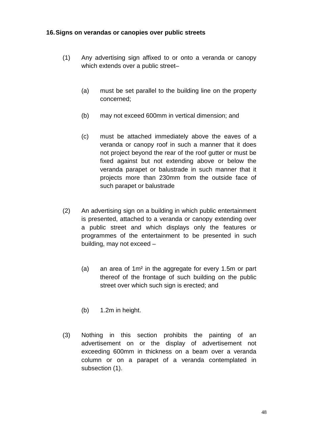#### **16. Signs on verandas or canopies over public streets**

- (1) Any advertising sign affixed to or onto a veranda or canopy which extends over a public street–
	- (a) must be set parallel to the building line on the property concerned;
	- (b) may not exceed 600mm in vertical dimension; and
	- (c) must be attached immediately above the eaves of a veranda or canopy roof in such a manner that it does not project beyond the rear of the roof gutter or must be fixed against but not extending above or below the veranda parapet or balustrade in such manner that it projects more than 230mm from the outside face of such parapet or balustrade
- (2) An advertising sign on a building in which public entertainment is presented, attached to a veranda or canopy extending over a public street and which displays only the features or programmes of the entertainment to be presented in such building, may not exceed –
	- (a) an area of 1m² in the aggregate for every 1.5m or part thereof of the frontage of such building on the public street over which such sign is erected; and
	- (b) 1.2m in height.
- (3) Nothing in this section prohibits the painting of an advertisement on or the display of advertisement not exceeding 600mm in thickness on a beam over a veranda column or on a parapet of a veranda contemplated in subsection (1).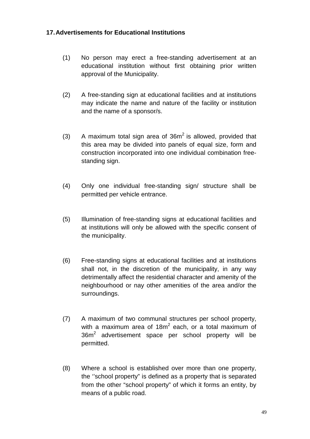## **17. Advertisements for Educational Institutions**

- (1) No person may erect a free-standing advertisement at an educational institution without first obtaining prior written approval of the Municipality.
- (2) A free-standing sign at educational facilities and at institutions may indicate the name and nature of the facility or institution and the name of a sponsor/s.
- (3) A maximum total sign area of  $36m^2$  is allowed, provided that this area may be divided into panels of equal size, form and construction incorporated into one individual combination freestanding sign.
- (4) Only one individual free-standing sign/ structure shall be permitted per vehicle entrance.
- (5) Illumination of free-standing signs at educational facilities and at institutions will only be allowed with the specific consent of the municipality.
- (6) Free-standing signs at educational facilities and at institutions shall not, in the discretion of the municipality, in any way detrimentally affect the residential character and amenity of the neighbourhood or nay other amenities of the area and/or the surroundings.
- (7) A maximum of two communal structures per school property, with a maximum area of  $18m^2$  each, or a total maximum of  $36m<sup>2</sup>$  advertisement space per school property will be permitted.
- (8) Where a school is established over more than one property, the ''school property" is defined as a property that is separated from the other "school property" of which it forms an entity, by means of a public road.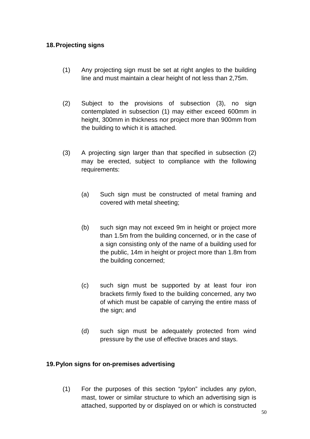## **18. Projecting signs**

- (1) Any projecting sign must be set at right angles to the building line and must maintain a clear height of not less than 2,75m.
- (2) Subject to the provisions of subsection (3), no sign contemplated in subsection (1) may either exceed 600mm in height, 300mm in thickness nor project more than 900mm from the building to which it is attached.
- (3) A projecting sign larger than that specified in subsection (2) may be erected, subject to compliance with the following requirements:
	- (a) Such sign must be constructed of metal framing and covered with metal sheeting;
	- (b) such sign may not exceed 9m in height or project more than 1.5m from the building concerned, or in the case of a sign consisting only of the name of a building used for the public, 14m in height or project more than 1.8m from the building concerned;
	- (c) such sign must be supported by at least four iron brackets firmly fixed to the building concerned, any two of which must be capable of carrying the entire mass of the sign; and
	- (d) such sign must be adequately protected from wind pressure by the use of effective braces and stays.

#### **19. Pylon signs for on-premises advertising**

 (1) For the purposes of this section "pylon" includes any pylon, mast, tower or similar structure to which an advertising sign is attached, supported by or displayed on or which is constructed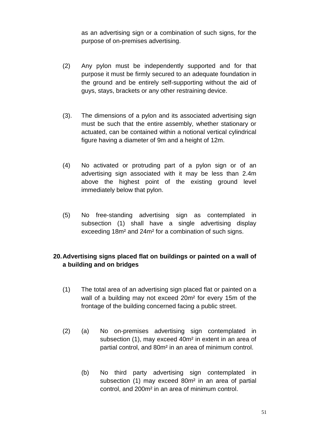as an advertising sign or a combination of such signs, for the purpose of on-premises advertising.

- (2) Any pylon must be independently supported and for that purpose it must be firmly secured to an adequate foundation in the ground and be entirely self-supporting without the aid of guys, stays, brackets or any other restraining device.
- (3). The dimensions of a pylon and its associated advertising sign must be such that the entire assembly, whether stationary or actuated, can be contained within a notional vertical cylindrical figure having a diameter of 9m and a height of 12m.
- (4) No activated or protruding part of a pylon sign or of an advertising sign associated with it may be less than 2.4m above the highest point of the existing ground level immediately below that pylon.
- (5) No free-standing advertising sign as contemplated in subsection (1) shall have a single advertising display exceeding 18m² and 24m² for a combination of such signs.

## **20. Advertising signs placed flat on buildings or painted on a wall of a building and on bridges**

- (1) The total area of an advertising sign placed flat or painted on a wall of a building may not exceed 20m² for every 15m of the frontage of the building concerned facing a public street.
- (2) (a) No on-premises advertising sign contemplated in subsection (1), may exceed 40m² in extent in an area of partial control, and 80m² in an area of minimum control.
	- (b) No third party advertising sign contemplated in subsection (1) may exceed 80m² in an area of partial control, and 200m² in an area of minimum control.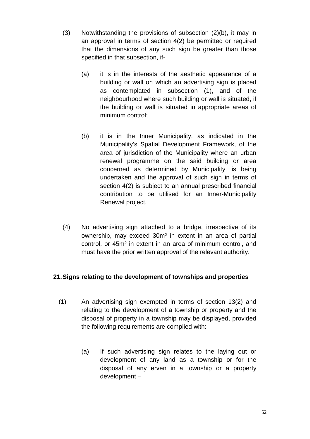- (3) Notwithstanding the provisions of subsection (2)(b), it may in an approval in terms of section 4(2) be permitted or required that the dimensions of any such sign be greater than those specified in that subsection, if-
	- (a) it is in the interests of the aesthetic appearance of a building or wall on which an advertising sign is placed as contemplated in subsection (1), and of the neighbourhood where such building or wall is situated, if the building or wall is situated in appropriate areas of minimum control;
	- (b) it is in the Inner Municipality, as indicated in the Municipality's Spatial Development Framework, of the area of jurisdiction of the Municipality where an urban renewal programme on the said building or area concerned as determined by Municipality, is being undertaken and the approval of such sign in terms of section 4(2) is subject to an annual prescribed financial contribution to be utilised for an Inner-Municipality Renewal project.
- (4) No advertising sign attached to a bridge, irrespective of its ownership, may exceed 30m² in extent in an area of partial control, or 45m² in extent in an area of minimum control, and must have the prior written approval of the relevant authority.

## **21. Signs relating to the development of townships and properties**

- (1) An advertising sign exempted in terms of section 13(2) and relating to the development of a township or property and the disposal of property in a township may be displayed, provided the following requirements are complied with:
	- (a) If such advertising sign relates to the laying out or development of any land as a township or for the disposal of any erven in a township or a property development –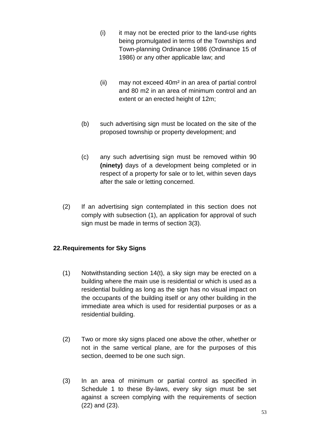- (i) it may not be erected prior to the land-use rights being promulgated in terms of the Townships and Town-planning Ordinance 1986 (Ordinance 15 of 1986) or any other applicable law; and
- (ii) may not exceed 40m² in an area of partial control and 80 m2 in an area of minimum control and an extent or an erected height of 12m;
- (b) such advertising sign must be located on the site of the proposed township or property development; and
- (c) any such advertising sign must be removed within 90 **(ninety)** days of a development being completed or in respect of a property for sale or to let, within seven days after the sale or letting concerned.
- (2) If an advertising sign contemplated in this section does not comply with subsection (1), an application for approval of such sign must be made in terms of section 3(3).

## **22. Requirements for Sky Signs**

- (1) Notwithstanding section 14(t), a sky sign may be erected on a building where the main use is residential or which is used as a residential building as long as the sign has no visual impact on the occupants of the building itself or any other building in the immediate area which is used for residential purposes or as a residential building.
- (2) Two or more sky signs placed one above the other, whether or not in the same vertical plane, are for the purposes of this section, deemed to be one such sign.
- (3) In an area of minimum or partial control as specified in Schedule 1 to these By-laws, every sky sign must be set against a screen complying with the requirements of section (22) and (23).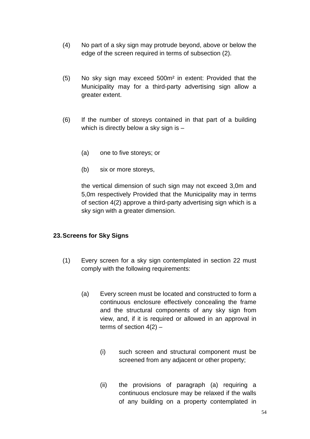- (4) No part of a sky sign may protrude beyond, above or below the edge of the screen required in terms of subsection (2).
- (5) No sky sign may exceed 500m² in extent: Provided that the Municipality may for a third-party advertising sign allow a greater extent.
- (6) If the number of storeys contained in that part of a building which is directly below a sky sign is -
	- (a) one to five storeys; or
	- (b) six or more storeys,

the vertical dimension of such sign may not exceed 3,0m and 5,0m respectively Provided that the Municipality may in terms of section 4(2) approve a third-party advertising sign which is a sky sign with a greater dimension.

#### **23. Screens for Sky Signs**

- (1) Every screen for a sky sign contemplated in section 22 must comply with the following requirements:
	- (a) Every screen must be located and constructed to form a continuous enclosure effectively concealing the frame and the structural components of any sky sign from view, and, if it is required or allowed in an approval in terms of section  $4(2)$  –
		- (i) such screen and structural component must be screened from any adjacent or other property;
		- (ii) the provisions of paragraph (a) requiring a continuous enclosure may be relaxed if the walls of any building on a property contemplated in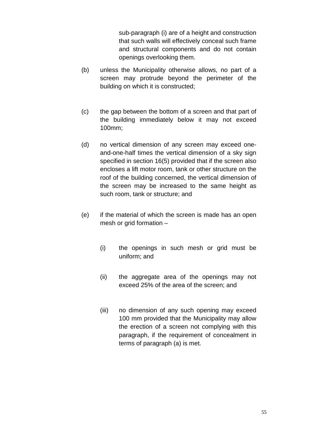sub-paragraph (i) are of a height and construction that such walls will effectively conceal such frame and structural components and do not contain openings overlooking them.

- (b) unless the Municipality otherwise allows, no part of a screen may protrude beyond the perimeter of the building on which it is constructed;
- (c) the gap between the bottom of a screen and that part of the building immediately below it may not exceed 100mm;
- (d) no vertical dimension of any screen may exceed oneand-one-half times the vertical dimension of a sky sign specified in section 16(5) provided that if the screen also encloses a lift motor room, tank or other structure on the roof of the building concerned, the vertical dimension of the screen may be increased to the same height as such room, tank or structure; and
- (e) if the material of which the screen is made has an open mesh or grid formation –
	- (i) the openings in such mesh or grid must be uniform; and
	- (ii) the aggregate area of the openings may not exceed 25% of the area of the screen; and
	- (iii) no dimension of any such opening may exceed 100 mm provided that the Municipality may allow the erection of a screen not complying with this paragraph, if the requirement of concealment in terms of paragraph (a) is met.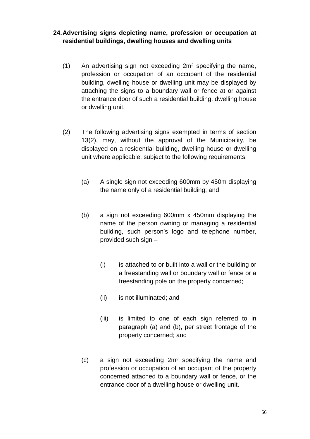## **24. Advertising signs depicting name, profession or occupation at residential buildings, dwelling houses and dwelling units**

- (1) An advertising sign not exceeding 2m² specifying the name, profession or occupation of an occupant of the residential building, dwelling house or dwelling unit may be displayed by attaching the signs to a boundary wall or fence at or against the entrance door of such a residential building, dwelling house or dwelling unit.
- (2) The following advertising signs exempted in terms of section 13(2), may, without the approval of the Municipality, be displayed on a residential building, dwelling house or dwelling unit where applicable, subject to the following requirements:
	- (a) A single sign not exceeding 600mm by 450m displaying the name only of a residential building; and
	- (b) a sign not exceeding 600mm x 450mm displaying the name of the person owning or managing a residential building, such person's logo and telephone number, provided such sign –
		- (i) is attached to or built into a wall or the building or a freestanding wall or boundary wall or fence or a freestanding pole on the property concerned;
		- (ii) is not illuminated; and
		- (iii) is limited to one of each sign referred to in paragraph (a) and (b), per street frontage of the property concerned; and
	- (c) a sign not exceeding 2m² specifying the name and profession or occupation of an occupant of the property concerned attached to a boundary wall or fence, or the entrance door of a dwelling house or dwelling unit.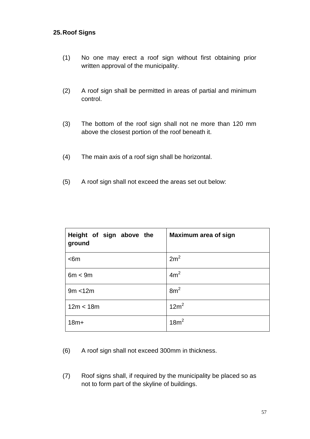#### **25. Roof Signs**

- (1) No one may erect a roof sign without first obtaining prior written approval of the municipality.
- (2) A roof sign shall be permitted in areas of partial and minimum control.
- (3) The bottom of the roof sign shall not ne more than 120 mm above the closest portion of the roof beneath it.
- (4) The main axis of a roof sign shall be horizontal.
- (5) A roof sign shall not exceed the areas set out below:

| Height of sign above the<br>ground | <b>Maximum area of sign</b> |
|------------------------------------|-----------------------------|
| < 6m                               | 2m <sup>2</sup>             |
| 6m < 9m                            | 4m <sup>2</sup>             |
| 9m < 12m                           | 8m <sup>2</sup>             |
| 12m < 18m                          | 12m <sup>2</sup>            |
| $18m+$                             | 18m <sup>2</sup>            |

(6) A roof sign shall not exceed 300mm in thickness.

(7) Roof signs shall, if required by the municipality be placed so as not to form part of the skyline of buildings.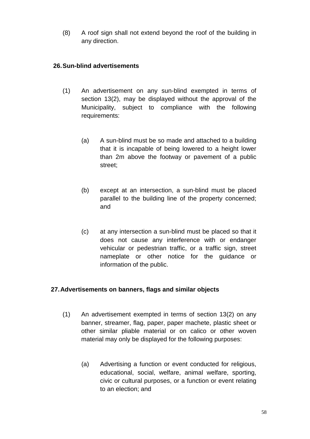(8) A roof sign shall not extend beyond the roof of the building in any direction.

## **26. Sun-blind advertisements**

- (1) An advertisement on any sun-blind exempted in terms of section 13(2), may be displayed without the approval of the Municipality, subject to compliance with the following requirements:
	- (a) A sun-blind must be so made and attached to a building that it is incapable of being lowered to a height lower than 2m above the footway or pavement of a public street;
	- (b) except at an intersection, a sun-blind must be placed parallel to the building line of the property concerned; and
	- (c) at any intersection a sun-blind must be placed so that it does not cause any interference with or endanger vehicular or pedestrian traffic, or a traffic sign, street nameplate or other notice for the guidance or information of the public.

## **27. Advertisements on banners, flags and similar objects**

- (1) An advertisement exempted in terms of section 13(2) on any banner, streamer, flag, paper, paper machete, plastic sheet or other similar pliable material or on calico or other woven material may only be displayed for the following purposes:
	- (a) Advertising a function or event conducted for religious, educational, social, welfare, animal welfare, sporting, civic or cultural purposes, or a function or event relating to an election; and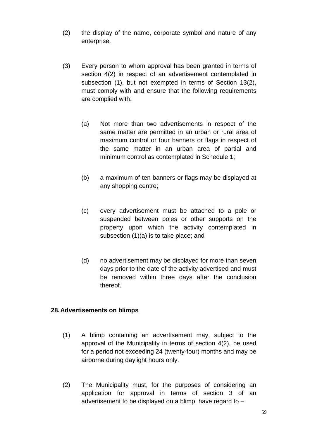- (2) the display of the name, corporate symbol and nature of any enterprise.
- (3) Every person to whom approval has been granted in terms of section 4(2) in respect of an advertisement contemplated in subsection (1), but not exempted in terms of Section 13(2), must comply with and ensure that the following requirements are complied with:
	- (a) Not more than two advertisements in respect of the same matter are permitted in an urban or rural area of maximum control or four banners or flags in respect of the same matter in an urban area of partial and minimum control as contemplated in Schedule 1;
	- (b) a maximum of ten banners or flags may be displayed at any shopping centre;
	- (c) every advertisement must be attached to a pole or suspended between poles or other supports on the property upon which the activity contemplated in subsection (1)(a) is to take place; and
	- (d) no advertisement may be displayed for more than seven days prior to the date of the activity advertised and must be removed within three days after the conclusion thereof.

## **28. Advertisements on blimps**

- (1) A blimp containing an advertisement may, subject to the approval of the Municipality in terms of section 4(2), be used for a period not exceeding 24 (twenty-four) months and may be airborne during daylight hours only.
- (2) The Municipality must, for the purposes of considering an application for approval in terms of section 3 of an advertisement to be displayed on a blimp, have regard to –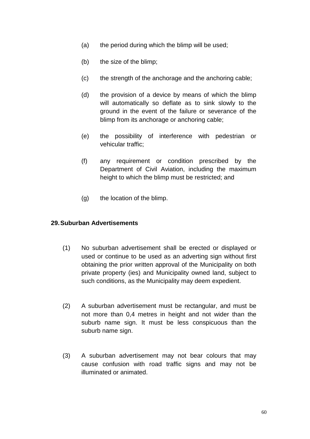- (a) the period during which the blimp will be used;
- (b) the size of the blimp;
- (c) the strength of the anchorage and the anchoring cable;
- (d) the provision of a device by means of which the blimp will automatically so deflate as to sink slowly to the ground in the event of the failure or severance of the blimp from its anchorage or anchoring cable;
- (e) the possibility of interference with pedestrian or vehicular traffic;
- (f) any requirement or condition prescribed by the Department of Civil Aviation, including the maximum height to which the blimp must be restricted; and
- (g) the location of the blimp.

#### **29. Suburban Advertisements**

- (1) No suburban advertisement shall be erected or displayed or used or continue to be used as an adverting sign without first obtaining the prior written approval of the Municipality on both private property (ies) and Municipality owned land, subject to such conditions, as the Municipality may deem expedient.
- (2) A suburban advertisement must be rectangular, and must be not more than 0,4 metres in height and not wider than the suburb name sign. It must be less conspicuous than the suburb name sign.
- (3) A suburban advertisement may not bear colours that may cause confusion with road traffic signs and may not be illuminated or animated.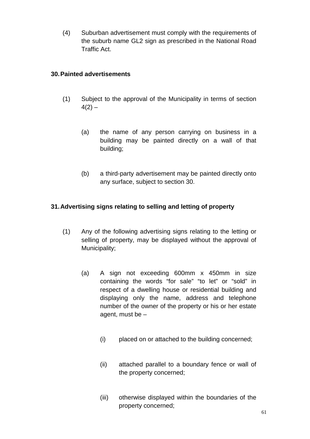(4) Suburban advertisement must comply with the requirements of the suburb name GL2 sign as prescribed in the National Road Traffic Act.

## **30. Painted advertisements**

- (1) Subject to the approval of the Municipality in terms of section  $4(2) -$ 
	- (a) the name of any person carrying on business in a building may be painted directly on a wall of that building;
	- (b) a third-party advertisement may be painted directly onto any surface, subject to section 30.

## **31. Advertising signs relating to selling and letting of property**

- (1) Any of the following advertising signs relating to the letting or selling of property, may be displayed without the approval of Municipality;
	- (a) A sign not exceeding 600mm x 450mm in size containing the words "for sale" "to let" or "sold" in respect of a dwelling house or residential building and displaying only the name, address and telephone number of the owner of the property or his or her estate agent, must be –
		- (i) placed on or attached to the building concerned;
		- (ii) attached parallel to a boundary fence or wall of the property concerned;
		- (iii) otherwise displayed within the boundaries of the property concerned;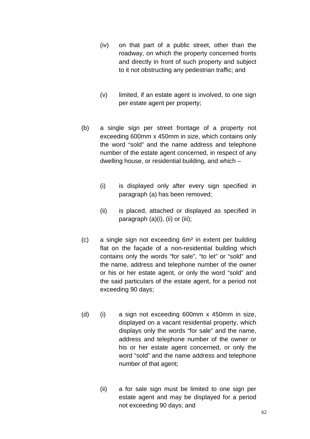- (iv) on that part of a public street, other than the roadway, on which the property concerned fronts and directly in front of such property and subject to it not obstructing any pedestrian traffic; and
- (v) limited, if an estate agent is involved, to one sign per estate agent per property;
- (b) a single sign per street frontage of a property not exceeding 600mm x 450mm in size, which contains only the word "sold" and the name address and telephone number of the estate agent concerned, in respect of any dwelling house, or residential building, and which –
	- (i) is displayed only after every sign specified in paragraph (a) has been removed;
	- (ii) is placed, attached or displayed as specified in paragraph (a)(i), (ii) or (iii);
- (c) a single sign not exceeding 6m² in extent per building flat on the façade of a non-residential building which contains only the words "for sale", "to let" or "sold" and the name, address and telephone number of the owner or his or her estate agent, or only the word "sold" and the said particulars of the estate agent, for a period not exceeding 90 days;
- (d) (i) a sign not exceeding 600mm x 450mm in size, displayed on a vacant residential property, which displays only the words "for sale" and the name, address and telephone number of the owner or his or her estate agent concerned, or only the word "sold" and the name address and telephone number of that agent;
	- (ii) a for sale sign must be limited to one sign per estate agent and may be displayed for a period not exceeding 90 days; and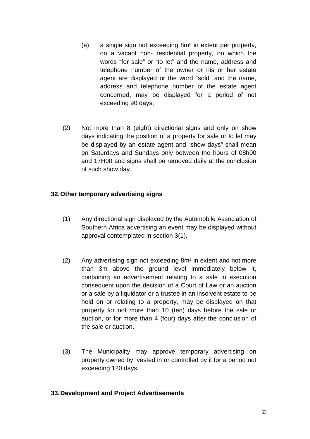- (e) a single sign not exceeding 8m² in extent per property, on a vacant non- residential property, on which the words "for sale" or "to let" and the name, address and telephone number of the owner or his or her estate agent are displayed or the word "sold" and the name, address and telephone number of the estate agent concerned, may be displayed for a period of not exceeding 90 days;
- (2) Not more than 8 (eight) directional signs and only on show days indicating the position of a property for sale or to let may be displayed by an estate agent and "show days" shall mean on Saturdays and Sundays only between the hours of 08h00 and 17H00 and signs shall be removed daily at the conclusion of such show day.

#### **32. Other temporary advertising signs**

- (1) Any directional sign displayed by the Automobile Association of Southern Africa advertising an event may be displayed without approval contemplated in section 3(1).
- (2) Any advertising sign not exceeding 8m² in extent and not more than 3m above the ground level immediately below it, containing an advertisement relating to a sale in execution consequent upon the decision of a Court of Law or an auction or a sale by a liquidator or a trustee in an insolvent estate to be held on or relating to a property, may be displayed on that property for not more than 10 (ten) days before the sale or auction, or for more than 4 (four) days after the conclusion of the sale or auction.
- (3) The Municipality may approve temporary advertising on property owned by, vested in or controlled by it for a period not exceeding 120 days.

#### **33. Development and Project Advertisements**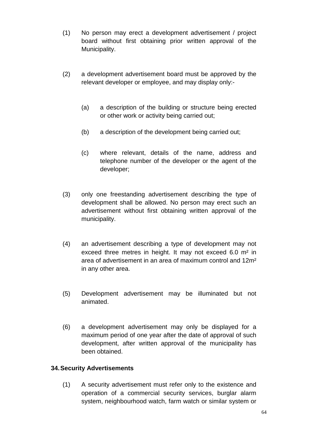- (1) No person may erect a development advertisement / project board without first obtaining prior written approval of the Municipality.
- (2) a development advertisement board must be approved by the relevant developer or employee, and may display only:-
	- (a) a description of the building or structure being erected or other work or activity being carried out;
	- (b) a description of the development being carried out;
	- (c) where relevant, details of the name, address and telephone number of the developer or the agent of the developer;
- (3) only one freestanding advertisement describing the type of development shall be allowed. No person may erect such an advertisement without first obtaining written approval of the municipality.
- (4) an advertisement describing a type of development may not exceed three metres in height. It may not exceed 6.0 m² in area of advertisement in an area of maximum control and 12m² in any other area.
- (5) Development advertisement may be illuminated but not animated.
- (6) a development advertisement may only be displayed for a maximum period of one year after the date of approval of such development, after written approval of the municipality has been obtained.

## **34. Security Advertisements**

 (1) A security advertisement must refer only to the existence and operation of a commercial security services, burglar alarm system, neighbourhood watch, farm watch or similar system or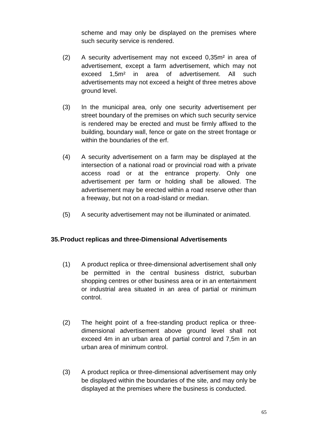scheme and may only be displayed on the premises where such security service is rendered.

- (2) A security advertisement may not exceed 0,35m² in area of advertisement, except a farm advertisement, which may not exceed 1,5m² in area of advertisement. All such advertisements may not exceed a height of three metres above ground level.
- (3) In the municipal area, only one security advertisement per street boundary of the premises on which such security service is rendered may be erected and must be firmly affixed to the building, boundary wall, fence or gate on the street frontage or within the boundaries of the erf.
- (4) A security advertisement on a farm may be displayed at the intersection of a national road or provincial road with a private access road or at the entrance property. Only one advertisement per farm or holding shall be allowed. The advertisement may be erected within a road reserve other than a freeway, but not on a road-island or median.
- (5) A security advertisement may not be illuminated or animated.

## **35. Product replicas and three-Dimensional Advertisements**

- (1) A product replica or three-dimensional advertisement shall only be permitted in the central business district, suburban shopping centres or other business area or in an entertainment or industrial area situated in an area of partial or minimum control.
- (2) The height point of a free-standing product replica or threedimensional advertisement above ground level shall not exceed 4m in an urban area of partial control and 7,5m in an urban area of minimum control.
- (3) A product replica or three-dimensional advertisement may only be displayed within the boundaries of the site, and may only be displayed at the premises where the business is conducted.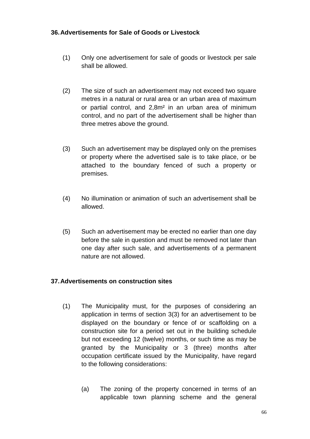#### **36. Advertisements for Sale of Goods or Livestock**

- (1) Only one advertisement for sale of goods or livestock per sale shall be allowed.
- (2) The size of such an advertisement may not exceed two square metres in a natural or rural area or an urban area of maximum or partial control, and 2,8m² in an urban area of minimum control, and no part of the advertisement shall be higher than three metres above the ground.
- (3) Such an advertisement may be displayed only on the premises or property where the advertised sale is to take place, or be attached to the boundary fenced of such a property or premises.
- (4) No illumination or animation of such an advertisement shall be allowed.
- (5) Such an advertisement may be erected no earlier than one day before the sale in question and must be removed not later than one day after such sale, and advertisements of a permanent nature are not allowed.

## **37. Advertisements on construction sites**

- (1) The Municipality must, for the purposes of considering an application in terms of section 3(3) for an advertisement to be displayed on the boundary or fence of or scaffolding on a construction site for a period set out in the building schedule but not exceeding 12 (twelve) months, or such time as may be granted by the Municipality or 3 (three) months after occupation certificate issued by the Municipality, have regard to the following considerations:
	- (a) The zoning of the property concerned in terms of an applicable town planning scheme and the general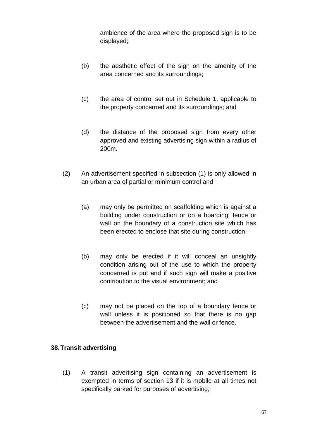ambience of the area where the proposed sign is to be displayed;

- (b) the aesthetic effect of the sign on the amenity of the area concerned and its surroundings;
- (c) the area of control set out in Schedule 1, applicable to the property concerned and its surroundings; and
- (d) the distance of the proposed sign from every other approved and existing advertising sign within a radius of 200m.
- (2) An advertisement specified in subsection (1) is only allowed in an urban area of partial or minimum control and
	- (a) may only be permitted on scaffolding which is against a building under construction or on a hoarding, fence or wall on the boundary of a construction site which has been erected to enclose that site during construction;
	- (b) may only be erected if it will conceal an unsightly condition arising out of the use to which the property concerned is put and if such sign will make a positive contribution to the visual environment; and
	- (c) may not be placed on the top of a boundary fence or wall unless it is positioned so that there is no gap between the advertisement and the wall or fence.

#### **38. Transit advertising**

 (1) A transit advertising sign containing an advertisement is exempted in terms of section 13 if it is mobile at all times not specifically parked for purposes of advertising;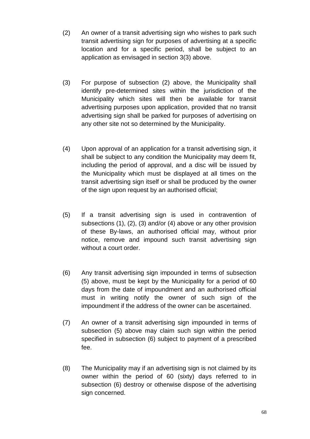- (2) An owner of a transit advertising sign who wishes to park such transit advertising sign for purposes of advertising at a specific location and for a specific period, shall be subject to an application as envisaged in section 3(3) above.
- (3) For purpose of subsection (2) above, the Municipality shall identify pre-determined sites within the jurisdiction of the Municipality which sites will then be available for transit advertising purposes upon application, provided that no transit advertising sign shall be parked for purposes of advertising on any other site not so determined by the Municipality.
- (4) Upon approval of an application for a transit advertising sign, it shall be subject to any condition the Municipality may deem fit, including the period of approval, and a disc will be issued by the Municipality which must be displayed at all times on the transit advertising sign itself or shall be produced by the owner of the sign upon request by an authorised official;
- (5) If a transit advertising sign is used in contravention of subsections (1), (2), (3) and/or (4) above or any other provision of these By-laws, an authorised official may, without prior notice, remove and impound such transit advertising sign without a court order.
- (6) Any transit advertising sign impounded in terms of subsection (5) above, must be kept by the Municipality for a period of 60 days from the date of impoundment and an authorised official must in writing notify the owner of such sign of the impoundment if the address of the owner can be ascertained.
- (7) An owner of a transit advertising sign impounded in terms of subsection (5) above may claim such sign within the period specified in subsection (6) subject to payment of a prescribed fee.
- (8) The Municipality may if an advertising sign is not claimed by its owner within the period of 60 (sixty) days referred to in subsection (6) destroy or otherwise dispose of the advertising sign concerned.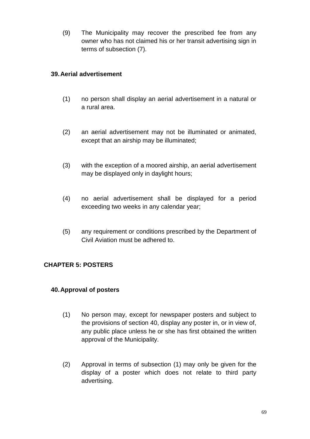(9) The Municipality may recover the prescribed fee from any owner who has not claimed his or her transit advertising sign in terms of subsection (7).

# **39. Aerial advertisement**

- (1) no person shall display an aerial advertisement in a natural or a rural area.
- (2) an aerial advertisement may not be illuminated or animated, except that an airship may be illuminated;
- (3) with the exception of a moored airship, an aerial advertisement may be displayed only in daylight hours;
- (4) no aerial advertisement shall be displayed for a period exceeding two weeks in any calendar year;
- (5) any requirement or conditions prescribed by the Department of Civil Aviation must be adhered to.

# **CHAPTER 5: POSTERS**

### **40. Approval of posters**

- (1) No person may, except for newspaper posters and subject to the provisions of section 40, display any poster in, or in view of, any public place unless he or she has first obtained the written approval of the Municipality.
- (2) Approval in terms of subsection (1) may only be given for the display of a poster which does not relate to third party advertising.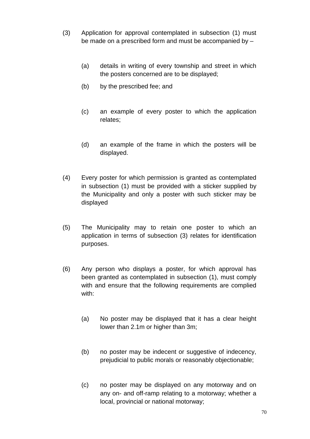- (3) Application for approval contemplated in subsection (1) must be made on a prescribed form and must be accompanied by –
	- (a) details in writing of every township and street in which the posters concerned are to be displayed;
	- (b) by the prescribed fee; and
	- (c) an example of every poster to which the application relates;
	- (d) an example of the frame in which the posters will be displayed.
- (4) Every poster for which permission is granted as contemplated in subsection (1) must be provided with a sticker supplied by the Municipality and only a poster with such sticker may be displayed
- (5) The Municipality may to retain one poster to which an application in terms of subsection (3) relates for identification purposes.
- (6) Any person who displays a poster, for which approval has been granted as contemplated in subsection (1), must comply with and ensure that the following requirements are complied with:
	- (a) No poster may be displayed that it has a clear height lower than 2.1m or higher than 3m;
	- (b) no poster may be indecent or suggestive of indecency, prejudicial to public morals or reasonably objectionable;
	- (c) no poster may be displayed on any motorway and on any on- and off-ramp relating to a motorway; whether a local, provincial or national motorway;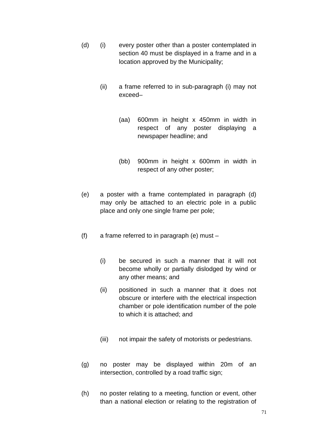- (d) (i) every poster other than a poster contemplated in section 40 must be displayed in a frame and in a location approved by the Municipality;
	- (ii) a frame referred to in sub-paragraph (i) may not exceed–
		- (aa) 600mm in height x 450mm in width in respect of any poster displaying a newspaper headline; and
		- (bb) 900mm in height x 600mm in width in respect of any other poster;
- (e) a poster with a frame contemplated in paragraph (d) may only be attached to an electric pole in a public place and only one single frame per pole;
- (f) a frame referred to in paragraph (e) must
	- (i) be secured in such a manner that it will not become wholly or partially dislodged by wind or any other means; and
	- (ii) positioned in such a manner that it does not obscure or interfere with the electrical inspection chamber or pole identification number of the pole to which it is attached; and
	- (iii) not impair the safety of motorists or pedestrians.
- (g) no poster may be displayed within 20m of an intersection, controlled by a road traffic sign;
- (h) no poster relating to a meeting, function or event, other than a national election or relating to the registration of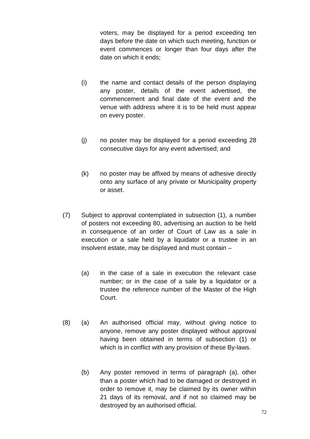voters, may be displayed for a period exceeding ten days before the date on which such meeting, function or event commences or longer than four days after the date on which it ends;

- (i) the name and contact details of the person displaying any poster, details of the event advertised, the commencement and final date of the event and the venue with address where it is to be held must appear on every poster.
- (j) no poster may be displayed for a period exceeding 28 consecutive days for any event advertised; and
- (k) no poster may be affixed by means of adhesive directly onto any surface of any private or Municipality property or asset.
- (7) Subject to approval contemplated in subsection (1), a number of posters not exceeding 80, advertising an auction to be held in consequence of an order of Court of Law as a sale in execution or a sale held by a liquidator or a trustee in an insolvent estate, may be displayed and must contain –
	- (a) in the case of a sale in execution the relevant case number; or in the case of a sale by a liquidator or a trustee the reference number of the Master of the High Court.
- (8) (a) An authorised official may, without giving notice to anyone, remove any poster displayed without approval having been obtained in terms of subsection (1) or which is in conflict with any provision of these By-laws.
	- (b) Any poster removed in terms of paragraph (a), other than a poster which had to be damaged or destroyed in order to remove it, may be claimed by its owner within 21 days of its removal, and if not so claimed may be destroyed by an authorised official.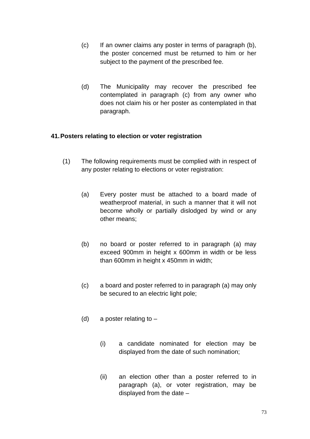- (c) If an owner claims any poster in terms of paragraph (b), the poster concerned must be returned to him or her subject to the payment of the prescribed fee.
- (d) The Municipality may recover the prescribed fee contemplated in paragraph (c) from any owner who does not claim his or her poster as contemplated in that paragraph.

### **41. Posters relating to election or voter registration**

- (1) The following requirements must be complied with in respect of any poster relating to elections or voter registration:
	- (a) Every poster must be attached to a board made of weatherproof material, in such a manner that it will not become wholly or partially dislodged by wind or any other means;
	- (b) no board or poster referred to in paragraph (a) may exceed 900mm in height x 600mm in width or be less than 600mm in height x 450mm in width;
	- (c) a board and poster referred to in paragraph (a) may only be secured to an electric light pole;
	- (d) a poster relating to  $-$ 
		- (i) a candidate nominated for election may be displayed from the date of such nomination;
		- (ii) an election other than a poster referred to in paragraph (a), or voter registration, may be displayed from the date –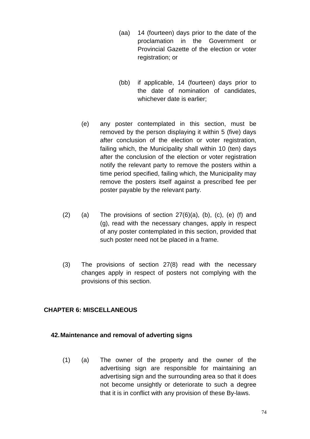- (aa) 14 (fourteen) days prior to the date of the proclamation in the Government or Provincial Gazette of the election or voter registration; or
- (bb) if applicable, 14 (fourteen) days prior to the date of nomination of candidates, whichever date is earlier;
- (e) any poster contemplated in this section, must be removed by the person displaying it within 5 (five) days after conclusion of the election or voter registration, failing which, the Municipality shall within 10 (ten) days after the conclusion of the election or voter registration notify the relevant party to remove the posters within a time period specified, failing which, the Municipality may remove the posters itself against a prescribed fee per poster payable by the relevant party.
- (2) (a) The provisions of section  $27(6)(a)$ , (b), (c), (e) (f) and (g), read with the necessary changes, apply in respect of any poster contemplated in this section, provided that such poster need not be placed in a frame.
- (3) The provisions of section 27(8) read with the necessary changes apply in respect of posters not complying with the provisions of this section.

# **CHAPTER 6: MISCELLANEOUS**

### **42. Maintenance and removal of adverting signs**

 (1) (a) The owner of the property and the owner of the advertising sign are responsible for maintaining an advertising sign and the surrounding area so that it does not become unsightly or deteriorate to such a degree that it is in conflict with any provision of these By-laws.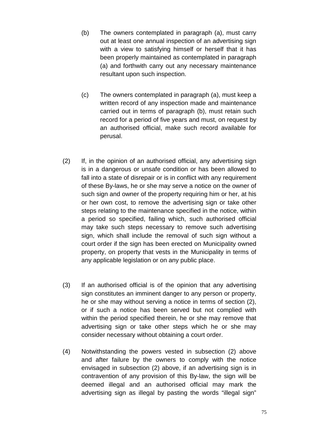- (b) The owners contemplated in paragraph (a), must carry out at least one annual inspection of an advertising sign with a view to satisfying himself or herself that it has been properly maintained as contemplated in paragraph (a) and forthwith carry out any necessary maintenance resultant upon such inspection.
- (c) The owners contemplated in paragraph (a), must keep a written record of any inspection made and maintenance carried out in terms of paragraph (b), must retain such record for a period of five years and must, on request by an authorised official, make such record available for perusal.
- (2) If, in the opinion of an authorised official, any advertising sign is in a dangerous or unsafe condition or has been allowed to fall into a state of disrepair or is in conflict with any requirement of these By-laws, he or she may serve a notice on the owner of such sign and owner of the property requiring him or her, at his or her own cost, to remove the advertising sign or take other steps relating to the maintenance specified in the notice, within a period so specified, failing which, such authorised official may take such steps necessary to remove such advertising sign, which shall include the removal of such sign without a court order if the sign has been erected on Municipality owned property, on property that vests in the Municipality in terms of any applicable legislation or on any public place.
- (3) If an authorised official is of the opinion that any advertising sign constitutes an imminent danger to any person or property, he or she may without serving a notice in terms of section (2), or if such a notice has been served but not complied with within the period specified therein, he or she may remove that advertising sign or take other steps which he or she may consider necessary without obtaining a court order.
- (4) Notwithstanding the powers vested in subsection (2) above and after failure by the owners to comply with the notice envisaged in subsection (2) above, if an advertising sign is in contravention of any provision of this By-law, the sign will be deemed illegal and an authorised official may mark the advertising sign as illegal by pasting the words "illegal sign"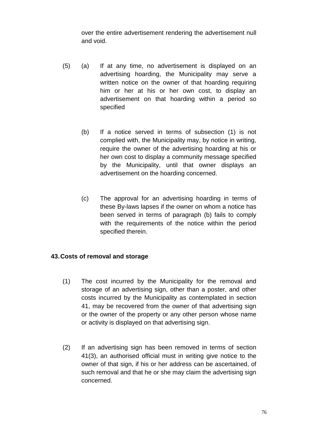over the entire advertisement rendering the advertisement null and void.

- (5) (a) If at any time, no advertisement is displayed on an advertising hoarding, the Municipality may serve a written notice on the owner of that hoarding requiring him or her at his or her own cost, to display an advertisement on that hoarding within a period so specified
	- (b) If a notice served in terms of subsection (1) is not complied with, the Municipality may, by notice in writing, require the owner of the advertising hoarding at his or her own cost to display a community message specified by the Municipality, until that owner displays an advertisement on the hoarding concerned.
	- (c) The approval for an advertising hoarding in terms of these By-laws lapses if the owner on whom a notice has been served in terms of paragraph (b) fails to comply with the requirements of the notice within the period specified therein.

### **43. Costs of removal and storage**

- (1) The cost incurred by the Municipality for the removal and storage of an advertising sign, other than a poster, and other costs incurred by the Municipality as contemplated in section 41, may be recovered from the owner of that advertising sign or the owner of the property or any other person whose name or activity is displayed on that advertising sign.
- (2) If an advertising sign has been removed in terms of section 41(3), an authorised official must in writing give notice to the owner of that sign, if his or her address can be ascertained, of such removal and that he or she may claim the advertising sign concerned.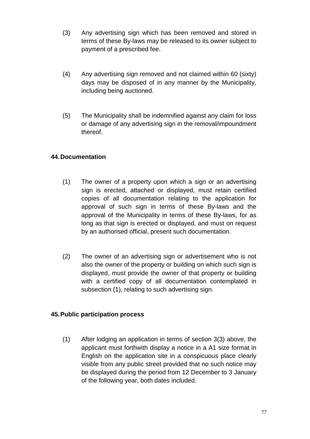- (3) Any advertising sign which has been removed and stored in terms of these By-laws may be released to its owner subject to payment of a prescribed fee.
- (4) Any advertising sign removed and not claimed within 60 (sixty) days may be disposed of in any manner by the Municipality, including being auctioned.
- (5) The Municipality shall be indemnified against any claim for loss or damage of any advertising sign in the removal/impoundment thereof.

# **44. Documentation**

- (1) The owner of a property upon which a sign or an advertising sign is erected, attached or displayed, must retain certified copies of all documentation relating to the application for approval of such sign in terms of these By-laws and the approval of the Municipality in terms of these By-laws, for as long as that sign is erected or displayed, and must on request by an authorised official, present such documentation.
- (2) The owner of an advertising sign or advertisement who is not also the owner of the property or building on which such sign is displayed, must provide the owner of that property or building with a certified copy of all documentation contemplated in subsection (1), relating to such advertising sign.

# **45. Public participation process**

 (1) After lodging an application in terms of section 3(3) above, the applicant must forthwith display a notice in a A1 size format in English on the application site in a conspicuous place clearly visible from any public street provided that no such notice may be displayed during the period from 12 December to 3 January of the following year, both dates included.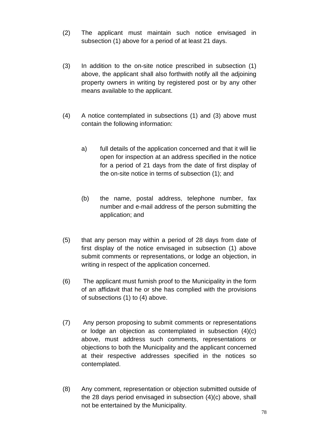- (2) The applicant must maintain such notice envisaged in subsection (1) above for a period of at least 21 days.
- (3) In addition to the on-site notice prescribed in subsection (1) above, the applicant shall also forthwith notify all the adjoining property owners in writing by registered post or by any other means available to the applicant.
- (4) A notice contemplated in subsections (1) and (3) above must contain the following information:
	- a) full details of the application concerned and that it will lie open for inspection at an address specified in the notice for a period of 21 days from the date of first display of the on-site notice in terms of subsection (1); and
	- (b) the name, postal address, telephone number, fax number and e-mail address of the person submitting the application; and
- (5) that any person may within a period of 28 days from date of first display of the notice envisaged in subsection (1) above submit comments or representations, or lodge an objection, in writing in respect of the application concerned.
- (6) The applicant must furnish proof to the Municipality in the form of an affidavit that he or she has complied with the provisions of subsections (1) to (4) above.
- (7) Any person proposing to submit comments or representations or lodge an objection as contemplated in subsection (4)(c) above, must address such comments, representations or objections to both the Municipality and the applicant concerned at their respective addresses specified in the notices so contemplated.
- (8) Any comment, representation or objection submitted outside of the 28 days period envisaged in subsection (4)(c) above, shall not be entertained by the Municipality.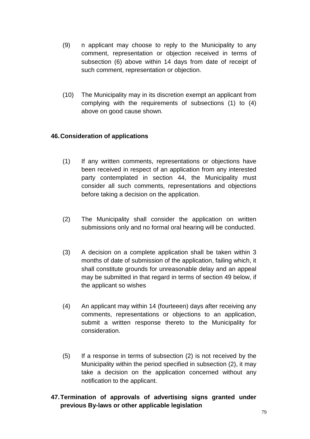- (9) n applicant may choose to reply to the Municipality to any comment, representation or objection received in terms of subsection (6) above within 14 days from date of receipt of such comment, representation or objection.
- (10) The Municipality may in its discretion exempt an applicant from complying with the requirements of subsections (1) to (4) above on good cause shown.

# **46. Consideration of applications**

- (1) If any written comments, representations or objections have been received in respect of an application from any interested party contemplated in section 44, the Municipality must consider all such comments, representations and objections before taking a decision on the application.
- (2) The Municipality shall consider the application on written submissions only and no formal oral hearing will be conducted.
- (3) A decision on a complete application shall be taken within 3 months of date of submission of the application, failing which, it shall constitute grounds for unreasonable delay and an appeal may be submitted in that regard in terms of section 49 below, if the applicant so wishes
- (4) An applicant may within 14 (fourteeen) days after receiving any comments, representations or objections to an application, submit a written response thereto to the Municipality for consideration.
- (5) If a response in terms of subsection (2) is not received by the Municipality within the period specified in subsection (2), it may take a decision on the application concerned without any notification to the applicant.
- **47. Termination of approvals of advertising signs granted under previous By-laws or other applicable legislation**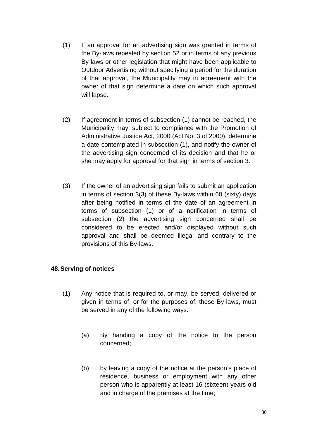- (1) If an approval for an advertising sign was granted in terms of the By-laws repealed by section 52 or in terms of any previous By-laws or other legislation that might have been applicable to Outdoor Advertising without specifying a period for the duration of that approval, the Municipality may in agreement with the owner of that sign determine a date on which such approval will lapse.
- (2) If agreement in terms of subsection (1) cannot be reached, the Municipality may, subject to compliance with the Promotion of Administrative Justice Act, 2000 (Act No. 3 of 2000), determine a date contemplated in subsection (1), and notify the owner of the advertising sign concerned of its decision and that he or she may apply for approval for that sign in terms of section 3.
- (3) If the owner of an advertising sign fails to submit an application in terms of section 3(3) of these By-laws within 60 (sixty) days after being notified in terms of the date of an agreement in terms of subsection (1) or of a notification in terms of subsection (2) the advertising sign concerned shall be considered to be erected and/or displayed without such approval and shall be deemed illegal and contrary to the provisions of this By-laws.

### **48. Serving of notices**

- (1) Any notice that is required to, or may, be served, delivered or given in terms of, or for the purposes of, these By-laws, must be served in any of the following ways:
	- (a) By handing a copy of the notice to the person concerned;
	- (b) by leaving a copy of the notice at the person's place of residence, business or employment with any other person who is apparently at least 16 (sixteen) years old and in charge of the premises at the time;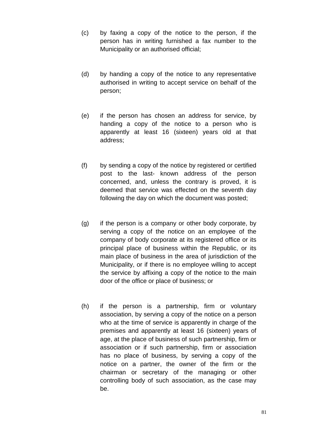- (c) by faxing a copy of the notice to the person, if the person has in writing furnished a fax number to the Municipality or an authorised official;
- (d) by handing a copy of the notice to any representative authorised in writing to accept service on behalf of the person;
- (e) if the person has chosen an address for service, by handing a copy of the notice to a person who is apparently at least 16 (sixteen) years old at that address;
- (f) by sending a copy of the notice by registered or certified post to the last- known address of the person concerned, and, unless the contrary is proved, it is deemed that service was effected on the seventh day following the day on which the document was posted;
- (g) if the person is a company or other body corporate, by serving a copy of the notice on an employee of the company of body corporate at its registered office or its principal place of business within the Republic, or its main place of business in the area of jurisdiction of the Municipality, or if there is no employee willing to accept the service by affixing a copy of the notice to the main door of the office or place of business; or
- (h) if the person is a partnership, firm or voluntary association, by serving a copy of the notice on a person who at the time of service is apparently in charge of the premises and apparently at least 16 (sixteen) years of age, at the place of business of such partnership, firm or association or if such partnership, firm or association has no place of business, by serving a copy of the notice on a partner, the owner of the firm or the chairman or secretary of the managing or other controlling body of such association, as the case may be.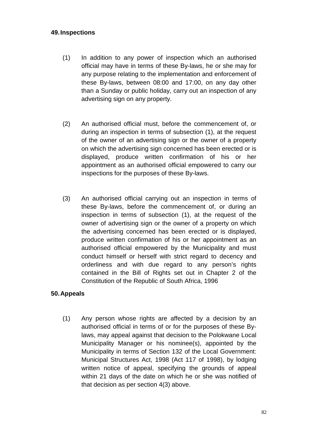### **49. Inspections**

- (1) In addition to any power of inspection which an authorised official may have in terms of these By-laws, he or she may for any purpose relating to the implementation and enforcement of these By-laws, between 08:00 and 17:00, on any day other than a Sunday or public holiday, carry out an inspection of any advertising sign on any property.
- (2) An authorised official must, before the commencement of, or during an inspection in terms of subsection (1), at the request of the owner of an advertising sign or the owner of a property on which the advertising sign concerned has been erected or is displayed, produce written confirmation of his or her appointment as an authorised official empowered to carry our inspections for the purposes of these By-laws.
- (3) An authorised official carrying out an inspection in terms of these By-laws, before the commencement of, or during an inspection in terms of subsection (1), at the request of the owner of advertising sign or the owner of a property on which the advertising concerned has been erected or is displayed, produce written confirmation of his or her appointment as an authorised official empowered by the Municipality and must conduct himself or herself with strict regard to decency and orderliness and with due regard to any person's rights contained in the Bill of Rights set out in Chapter 2 of the Constitution of the Republic of South Africa, 1996

### **50. Appeals**

 (1) Any person whose rights are affected by a decision by an authorised official in terms of or for the purposes of these Bylaws, may appeal against that decision to the Polokwane Local Municipality Manager or his nominee(s), appointed by the Municipality in terms of Section 132 of the Local Government: Municipal Structures Act, 1998 (Act 117 of 1998), by lodging written notice of appeal, specifying the grounds of appeal within 21 days of the date on which he or she was notified of that decision as per section 4(3) above.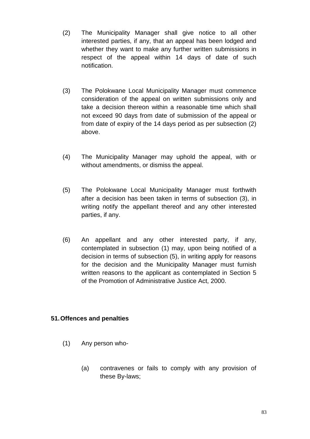- (2) The Municipality Manager shall give notice to all other interested parties, if any, that an appeal has been lodged and whether they want to make any further written submissions in respect of the appeal within 14 days of date of such notification.
- (3) The Polokwane Local Municipality Manager must commence consideration of the appeal on written submissions only and take a decision thereon within a reasonable time which shall not exceed 90 days from date of submission of the appeal or from date of expiry of the 14 days period as per subsection (2) above.
- (4) The Municipality Manager may uphold the appeal, with or without amendments, or dismiss the appeal.
- (5) The Polokwane Local Municipality Manager must forthwith after a decision has been taken in terms of subsection (3), in writing notify the appellant thereof and any other interested parties, if any.
- (6) An appellant and any other interested party, if any, contemplated in subsection (1) may, upon being notified of a decision in terms of subsection (5), in writing apply for reasons for the decision and the Municipality Manager must furnish written reasons to the applicant as contemplated in Section 5 of the Promotion of Administrative Justice Act, 2000.

# **51. Offences and penalties**

- (1) Any person who-
	- (a) contravenes or fails to comply with any provision of these By-laws;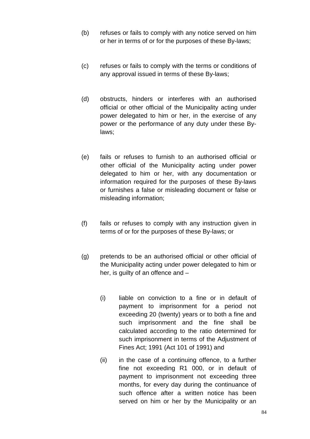- (b) refuses or fails to comply with any notice served on him or her in terms of or for the purposes of these By-laws;
- (c) refuses or fails to comply with the terms or conditions of any approval issued in terms of these By-laws;
- (d) obstructs, hinders or interferes with an authorised official or other official of the Municipality acting under power delegated to him or her, in the exercise of any power or the performance of any duty under these Bylaws;
- (e) fails or refuses to furnish to an authorised official or other official of the Municipality acting under power delegated to him or her, with any documentation or information required for the purposes of these By-laws or furnishes a false or misleading document or false or misleading information;
- (f) fails or refuses to comply with any instruction given in terms of or for the purposes of these By-laws; or
- (g) pretends to be an authorised official or other official of the Municipality acting under power delegated to him or her, is guilty of an offence and –
	- (i) liable on conviction to a fine or in default of payment to imprisonment for a period not exceeding 20 (twenty) years or to both a fine and such imprisonment and the fine shall be calculated according to the ratio determined for such imprisonment in terms of the Adjustment of Fines Act; 1991 (Act 101 of 1991) and
	- (ii) in the case of a continuing offence, to a further fine not exceeding R1 000, or in default of payment to imprisonment not exceeding three months, for every day during the continuance of such offence after a written notice has been served on him or her by the Municipality or an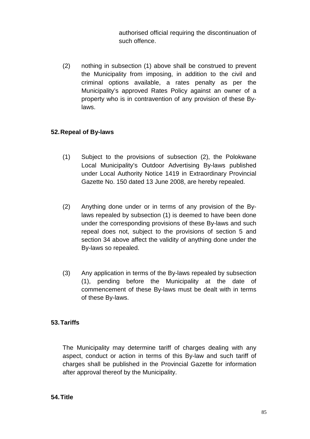authorised official requiring the discontinuation of such offence.

(2) nothing in subsection (1) above shall be construed to prevent the Municipality from imposing, in addition to the civil and criminal options available, a rates penalty as per the Municipality's approved Rates Policy against an owner of a property who is in contravention of any provision of these Bylaws.

# **52. Repeal of By-laws**

- (1) Subject to the provisions of subsection (2), the Polokwane Local Municipality's Outdoor Advertising By-laws published under Local Authority Notice 1419 in Extraordinary Provincial Gazette No. 150 dated 13 June 2008, are hereby repealed.
- (2) Anything done under or in terms of any provision of the Bylaws repealed by subsection (1) is deemed to have been done under the corresponding provisions of these By-laws and such repeal does not, subject to the provisions of section 5 and section 34 above affect the validity of anything done under the By-laws so repealed.
- (3) Any application in terms of the By-laws repealed by subsection (1), pending before the Municipality at the date of commencement of these By-laws must be dealt with in terms of these By-laws.

# **53. Tariffs**

 The Municipality may determine tariff of charges dealing with any aspect, conduct or action in terms of this By-law and such tariff of charges shall be published in the Provincial Gazette for information after approval thereof by the Municipality.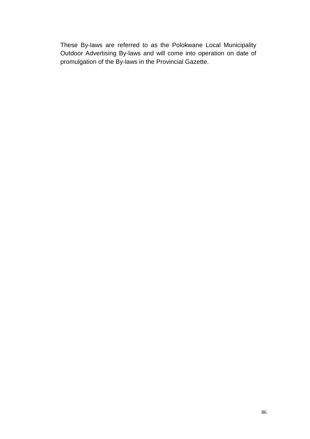These By-laws are referred to as the Polokwane Local Municipality Outdoor Advertising By-laws and will come into operation on date of promulgation of the By-laws in the Provincial Gazette.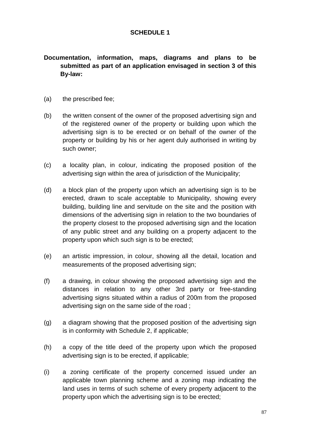# **SCHEDULE 1**

# **Documentation, information, maps, diagrams and plans to be submitted as part of an application envisaged in section 3 of this By-law:**

- (a) the prescribed fee;
- (b) the written consent of the owner of the proposed advertising sign and of the registered owner of the property or building upon which the advertising sign is to be erected or on behalf of the owner of the property or building by his or her agent duly authorised in writing by such owner;
- (c) a locality plan, in colour, indicating the proposed position of the advertising sign within the area of jurisdiction of the Municipality;
- (d) a block plan of the property upon which an advertising sign is to be erected, drawn to scale acceptable to Municipality, showing every building, building line and servitude on the site and the position with dimensions of the advertising sign in relation to the two boundaries of the property closest to the proposed advertising sign and the location of any public street and any building on a property adjacent to the property upon which such sign is to be erected;
- (e) an artistic impression, in colour, showing all the detail, location and measurements of the proposed advertising sign;
- (f) a drawing, in colour showing the proposed advertising sign and the distances in relation to any other 3rd party or free-standing advertising signs situated within a radius of 200m from the proposed advertising sign on the same side of the road ;
- (g) a diagram showing that the proposed position of the advertising sign is in conformity with Schedule 2, if applicable;
- (h) a copy of the title deed of the property upon which the proposed advertising sign is to be erected, if applicable;
- (i) a zoning certificate of the property concerned issued under an applicable town planning scheme and a zoning map indicating the land uses in terms of such scheme of every property adjacent to the property upon which the advertising sign is to be erected;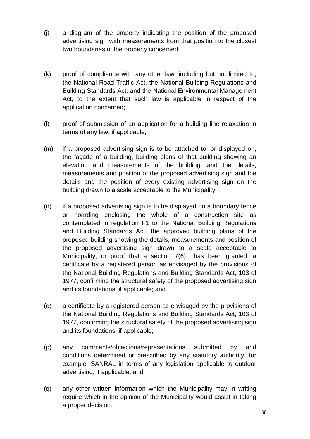- (j) a diagram of the property indicating the position of the proposed advertising sign with measurements from that position to the closest two boundaries of the property concerned;
- (k) proof of compliance with any other law, including but not limited to, the National Road Traffic Act, the National Building Regulations and Building Standards Act, and the National Environmental Management Act, to the extent that such law is applicable in respect of the application concerned;
- (l) proof of submission of an application for a building line relaxation in terms of any law, if applicable;
- (m) if a proposed advertising sign is to be attached to, or displayed on, the façade of a building, building plans of that building showing an elevation and measurements of the building, and the details, measurements and position of the proposed advertising sign and the details and the position of every existing advertising sign on the building drawn to a scale acceptable to the Municipality;
- (n) if a proposed advertising sign is to be displayed on a boundary fence or hoarding enclosing the whole of a construction site as contemplated in regulation F1 to the National Building Regulations and Building Standards Act, the approved building plans of the proposed building showing the details, measurements and position of the proposed advertising sign drawn to a scale acceptable to Municipality, or proof that a section 7(6) has been granted; a certificate by a registered person as envisaged by the provisions of the National Building Regulations and Building Standards Act, 103 of 1977, confirming the structural safety of the proposed advertising sign and its foundations, if applicable; and
- (o) a certificate by a registered person as envisaged by the provisions of the National Building Regulations and Building Standards Act, 103 of 1977, confirming the structural safety of the proposed advertising sign and its foundations, if applicable;
- (p) any comments/objections/representations submitted by and conditions determined or prescribed by any statutory authority, for example, SANRAL in terms of any legislation applicable to outdoor advertising, if applicable; and
- (q) any other written information which the Municipality may in writing require which in the opinion of the Municipality would assist in taking a proper decision.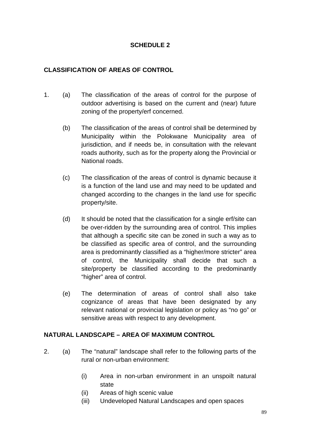# **SCHEDULE 2**

# **CLASSIFICATION OF AREAS OF CONTROL**

- 1. (a) The classification of the areas of control for the purpose of outdoor advertising is based on the current and (near) future zoning of the property/erf concerned.
	- (b) The classification of the areas of control shall be determined by Municipality within the Polokwane Municipality area of jurisdiction, and if needs be, in consultation with the relevant roads authority, such as for the property along the Provincial or National roads.
	- (c) The classification of the areas of control is dynamic because it is a function of the land use and may need to be updated and changed according to the changes in the land use for specific property/site.
	- (d) It should be noted that the classification for a single erf/site can be over-ridden by the surrounding area of control. This implies that although a specific site can be zoned in such a way as to be classified as specific area of control, and the surrounding area is predominantly classified as a "higher/more stricter" area of control, the Municipality shall decide that such a site/property be classified according to the predominantly "higher" area of control.
	- (e) The determination of areas of control shall also take cognizance of areas that have been designated by any relevant national or provincial legislation or policy as "no go" or sensitive areas with respect to any development.

# **NATURAL LANDSCAPE – AREA OF MAXIMUM CONTROL**

- 2. (a) The "natural" landscape shall refer to the following parts of the rural or non-urban environment:
	- (i) Area in non-urban environment in an unspoilt natural state
	- (ii) Areas of high scenic value
	- (iii) Undeveloped Natural Landscapes and open spaces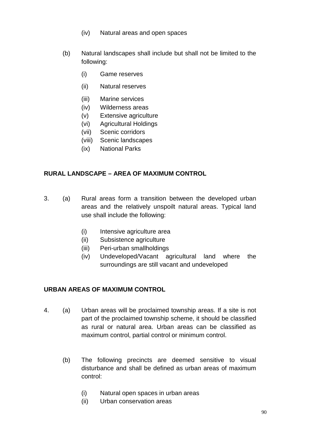- (iv) Natural areas and open spaces
- (b) Natural landscapes shall include but shall not be limited to the following:
	- (i) Game reserves
	- (ii) Natural reserves
	- (iii) Marine services
	- (iv) Wilderness areas
	- (v) Extensive agriculture
	- (vi) Agricultural Holdings
	- (vii) Scenic corridors
	- (viii) Scenic landscapes
	- (ix) National Parks

### **RURAL LANDSCAPE – AREA OF MAXIMUM CONTROL**

- 3. (a) Rural areas form a transition between the developed urban areas and the relatively unspoilt natural areas. Typical land use shall include the following:
	- (i) Intensive agriculture area
	- (ii) Subsistence agriculture
	- (iii) Peri-urban smallholdings
	- (iv) Undeveloped/Vacant agricultural land where the surroundings are still vacant and undeveloped

### **URBAN AREAS OF MAXIMUM CONTROL**

- 4. (a) Urban areas will be proclaimed township areas. If a site is not part of the proclaimed township scheme, it should be classified as rural or natural area. Urban areas can be classified as maximum control, partial control or minimum control.
	- (b) The following precincts are deemed sensitive to visual disturbance and shall be defined as urban areas of maximum control:
		- (i) Natural open spaces in urban areas
		- (ii) Urban conservation areas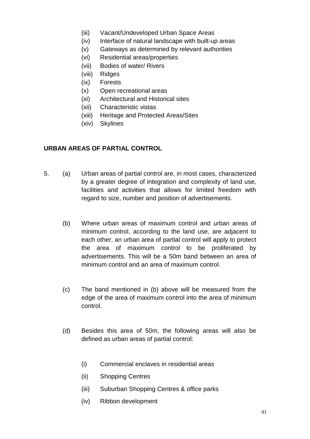- (iii) Vacant/Undeveloped Urban Space Areas
- (iv) Interface of natural landscape with built-up areas
- (v) Gateways as determined by relevant authorities
- (vi) Residential areas/properties
- (vii) Bodies of water/ Rivers
- (viii) Ridges
- (ix) Forests
- (x) Open recreational areas
- (xi) Architectural and Historical sites
- (xii) Characteristic vistas
- (xiii) Heritage and Protected Areas/Sites
- (xiv) Skylines

### **URBAN AREAS OF PARTIAL CONTROL**

- 5. (a) Urban areas of partial control are, in most cases, characterized by a greater degree of integration and complexity of land use, facilities and activities that allows for limited freedom with regard to size, number and position of advertisements.
	- (b) Where urban areas of maximum control and urban areas of minimum control, according to the land use, are adjacent to each other, an urban area of partial control will apply to protect the area of maximum control to be proliferated by advertisements. This will be a 50m band between an area of minimum control and an area of maximum control.
	- (c) The band mentioned in (b) above will be measured from the edge of the area of maximum control into the area of minimum control.
	- (d) Besides this area of 50m, the following areas will also be defined as urban areas of partial control:
		- (i) Commercial enclaves in residential areas
		- (ii) Shopping Centres
		- (iii) Suburban Shopping Centres & office parks
		- (iv) Ribbon development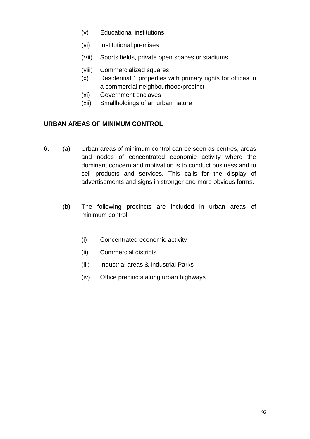- (v) Educational institutions
- (vi) Institutional premises
- (Vii) Sports fields, private open spaces or stadiums
- (viii) Commercialized squares
- (x) Residential 1 properties with primary rights for offices in a commercial neighbourhood/precinct
- (xi) Government enclaves
- (xii) Smallholdings of an urban nature

### **URBAN AREAS OF MINIMUM CONTROL**

- 6. (a) Urban areas of minimum control can be seen as centres, areas and nodes of concentrated economic activity where the dominant concern and motivation is to conduct business and to sell products and services. This calls for the display of advertisements and signs in stronger and more obvious forms.
	- (b) The following precincts are included in urban areas of minimum control:
		- (i) Concentrated economic activity
		- (ii) Commercial districts
		- (iii) Industrial areas & Industrial Parks
		- (iv) Office precincts along urban highways